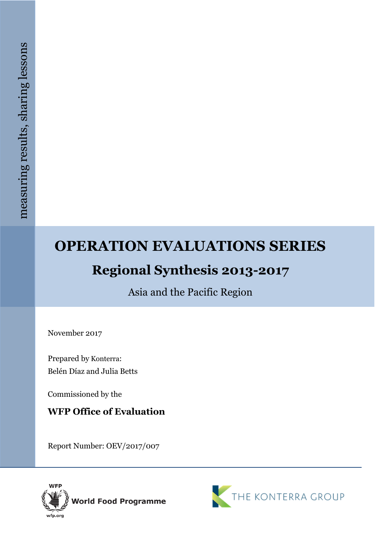# **OPERATION EVALUATIONS SERIES**

# **Regional Synthesis 2013 -2017**

Asia and the Pacific Region

November 2017

Prepared by Konterra: Belén Díaz and Julia Betts

Commissioned by the

# **WFP Office of Evaluation**

Report Number: OEV/2017/007



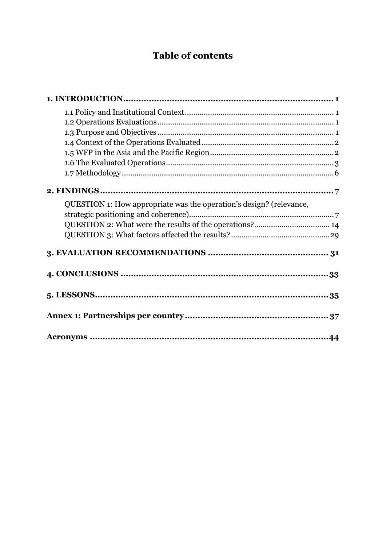# **Table of contents**

| QUESTION 1: How appropriate was the operation's design? (relevance, |  |
|---------------------------------------------------------------------|--|
|                                                                     |  |
|                                                                     |  |
|                                                                     |  |
|                                                                     |  |
|                                                                     |  |
|                                                                     |  |
|                                                                     |  |
|                                                                     |  |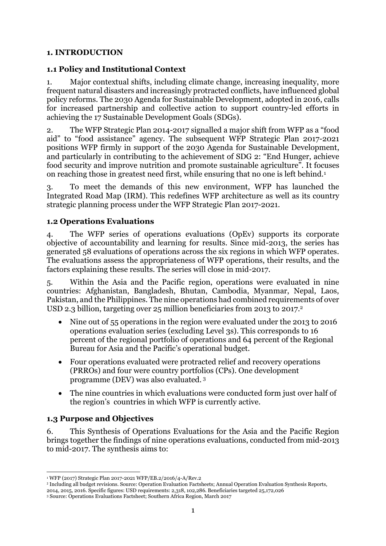#### <span id="page-2-0"></span>**1. INTRODUCTION**

#### <span id="page-2-1"></span>**1.1 Policy and Institutional Context**

1. Major contextual shifts, including climate change, increasing inequality, more frequent natural disasters and increasingly protracted conflicts, have influenced global policy reforms. The 2030 Agenda for Sustainable Development, adopted in 2016, calls for increased partnership and collective action to support country-led efforts in achieving the 17 Sustainable Development Goals (SDGs).

2. The WFP Strategic Plan 2014-2017 signalled a major shift from WFP as a "food aid" to "food assistance" agency. The subsequent WFP Strategic Plan 2017-2021 positions WFP firmly in support of the 2030 Agenda for Sustainable Development, and particularly in contributing to the achievement of SDG 2: "End Hunger, achieve food security and improve nutrition and promote sustainable agriculture". It focuses on reaching those in greatest need first, while ensuring that no one is left behind.<sup>1</sup>

3. To meet the demands of this new environment, WFP has launched the Integrated Road Map (IRM). This redefines WFP architecture as well as its country strategic planning process under the WFP Strategic Plan 2017-2021.

#### <span id="page-2-2"></span>**1.2 Operations Evaluations**

4. The WFP series of operations evaluations (OpEv) supports its corporate objective of accountability and learning for results. Since mid-2013, the series has generated 58 evaluations of operations across the six regions in which WFP operates. The evaluations assess the appropriateness of WFP operations, their results, and the factors explaining these results. The series will close in mid-2017.

5. Within the Asia and the Pacific region, operations were evaluated in nine countries: Afghanistan, Bangladesh, Bhutan, Cambodia, Myanmar, Nepal, Laos, Pakistan, and the Philippines. The nine operations had combined requirements of over USD 2.3 billion, targeting over 25 million beneficiaries from 2013 to 2017.<sup>2</sup>

- Nine out of 55 operations in the region were evaluated under the 2013 to 2016 operations evaluation series (excluding Level 3s). This corresponds to 16 percent of the regional portfolio of operations and 64 percent of the Regional Bureau for Asia and the Pacific's operational budget.
- Four operations evaluated were protracted relief and recovery operations (PRROs) and four were country portfolios (CPs). One development programme (DEV) was also evaluated. <sup>3</sup>
- The nine countries in which evaluations were conducted form just over half of the region's countries in which WFP is currently active.

#### <span id="page-2-3"></span>**1.3 Purpose and Objectives**

6. This Synthesis of Operations Evaluations for the Asia and the Pacific Region brings together the findings of nine operations evaluations, conducted from mid-2013 to mid-2017. The synthesis aims to:

**<sup>.</sup>** <sup>1</sup> WFP (2017) Strategic Plan 2017-2021 WFP/EB.2/2016/4-A/Rev.2

<sup>2</sup> Including all budget revisions. Source: Operation Evaluation Factsheets; Annual Operation Evaluation Synthesis Reports, 2014, 2015, 2016. Specific figures: USD requirements: 2,318, 102,286. Beneficiaries targeted 25,172,026

<sup>3</sup> Source: Operations Evaluations Factsheet; Southern Africa Region, March 2017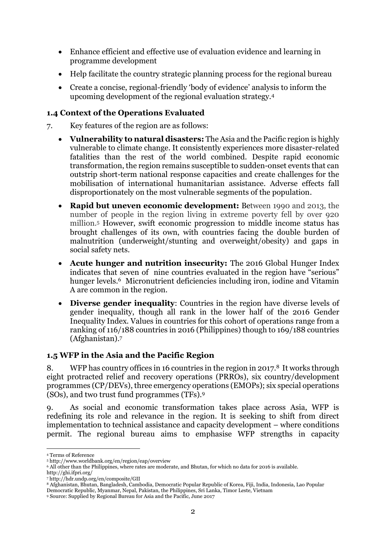- Enhance efficient and effective use of evaluation evidence and learning in programme development
- Help facilitate the country strategic planning process for the regional bureau
- Create a concise, regional-friendly 'body of evidence' analysis to inform the upcoming development of the regional evaluation strategy.<sup>4</sup>

## <span id="page-3-0"></span>**1.4 Context of the Operations Evaluated**

- 7. Key features of the region are as follows:
	- **Vulnerability to natural disasters:** The Asia and the Pacific region is highly vulnerable to climate change. It consistently experiences more disaster-related fatalities than the rest of the world combined. Despite rapid economic transformation, the region remains susceptible to sudden-onset events that can outstrip short-term national response capacities and create challenges for the mobilisation of international humanitarian assistance. Adverse effects fall disproportionately on the most vulnerable segments of the population.
	- **Rapid but uneven economic development:** Between 1990 and 2013, the number of people in the region living in extreme poverty fell by over 920 million.<sup>5</sup> However, swift economic progression to middle income status has brought challenges of its own, with countries facing the double burden of malnutrition (underweight/stunting and overweight/obesity) and gaps in social safety nets.
	- **Acute hunger and nutrition insecurity:** The 2016 Global Hunger Index indicates that seven of nine countries evaluated in the region have "serious" hunger levels.<sup>6</sup> Micronutrient deficiencies including iron, iodine and Vitamin A are common in the region.
	- **Diverse gender inequality**: Countries in the region have diverse levels of gender inequality, though all rank in the lower half of the 2016 Gender Inequality Index. Values in countries for this cohort of operations range from a ranking of 116/188 countries in 2016 (Philippines) though to 169/188 countries (Afghanistan). 7

#### <span id="page-3-1"></span>**1.5 WFP in the Asia and the Pacific Region**

8. WFP has country offices in 16 countries in the region in 2017.<sup>8</sup> It works through eight protracted relief and recovery operations (PRROs), six country/development programmes (CP/DEVs), three emergency operations (EMOPs); six special operations (SOs), and two trust fund programmes (TFs).<sup>9</sup>

9. As social and economic transformation takes place across Asia, WFP is redefining its role and relevance in the region. It is seeking to shift from direct implementation to technical assistance and capacity development – where conditions permit. The regional bureau aims to emphasise WFP strengths in capacity

**<sup>.</sup>** <sup>4</sup> Terms of Reference

<sup>5</sup> http://www.worldbank.org/en/region/eap/overview

<sup>6</sup> All other than the Philippines, where rates are moderate, and Bhutan, for which no data for 2016 is available.

http://ghi.ifpri.org/

<sup>7</sup> http://hdr.undp.org/en/composite/GII

<sup>8</sup> Afghanistan, Bhutan, Bangladesh, Cambodia, Democratic Popular Republic of Korea, Fiji, India, Indonesia, Lao Popular Democratic Republic, Myanmar, Nepal, Pakistan, the Philippines, Sri Lanka, Timor Leste, Vietnam

<sup>9</sup> Source: Supplied by Regional Bureau for Asia and the Pacific, June 2017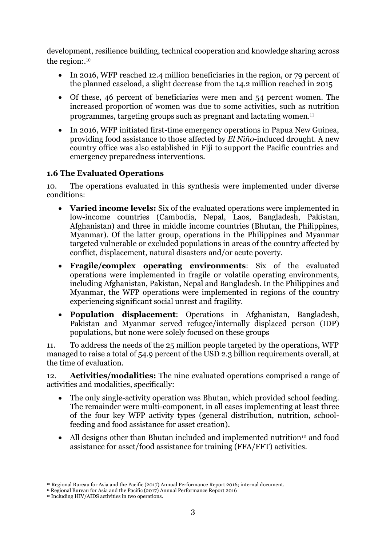development, resilience building, technical cooperation and knowledge sharing across the region:. 10

- In 2016, WFP reached 12.4 million beneficiaries in the region, or 79 percent of the planned caseload, a slight decrease from the 14.2 million reached in 2015
- Of these, 46 percent of beneficiaries were men and 54 percent women. The increased proportion of women was due to some activities, such as nutrition programmes, targeting groups such as pregnant and lactating women. 11
- In 2016, WFP initiated first-time emergency operations in Papua New Guinea, providing food assistance to those affected by *El Niño*-induced drought. A new country office was also established in Fiji to support the Pacific countries and emergency preparedness interventions.

### <span id="page-4-0"></span>**1.6 The Evaluated Operations**

10. The operations evaluated in this synthesis were implemented under diverse conditions:

- **Varied income levels:** Six of the evaluated operations were implemented in low-income countries (Cambodia, Nepal, Laos, Bangladesh, Pakistan, Afghanistan) and three in middle income countries (Bhutan, the Philippines, Myanmar). Of the latter group, operations in the Philippines and Myanmar targeted vulnerable or excluded populations in areas of the country affected by conflict, displacement, natural disasters and/or acute poverty.
- **Fragile/complex operating environments**: Six of the evaluated operations were implemented in fragile or volatile operating environments, including Afghanistan, Pakistan, Nepal and Bangladesh. In the Philippines and Myanmar, the WFP operations were implemented in regions of the country experiencing significant social unrest and fragility.
- **Population displacement**: Operations in Afghanistan, Bangladesh, Pakistan and Myanmar served refugee/internally displaced person (IDP) populations, but none were solely focused on these groups

11. To address the needs of the 25 million people targeted by the operations, WFP managed to raise a total of 54.9 percent of the USD 2.3 billion requirements overall, at the time of evaluation.

12. **Activities/modalities:** The nine evaluated operations comprised a range of activities and modalities, specifically:

- The only single-activity operation was Bhutan, which provided school feeding. The remainder were multi-component, in all cases implementing at least three of the four key WFP activity types (general distribution, nutrition, schoolfeeding and food assistance for asset creation).
- All designs other than Bhutan included and implemented nutrition<sup>12</sup> and food assistance for asset/food assistance for training (FFA/FFT) activities.

**<sup>.</sup>** <sup>10</sup> Regional Bureau for Asia and the Pacific (2017) Annual Performance Report 2016; internal document.

<sup>&</sup>lt;sup>11</sup> Regional Bureau for Asia and the Pacific (2017) Annual Performance Report 2016

<sup>&</sup>lt;sup>12</sup> Including HIV/AIDS activities in two operations.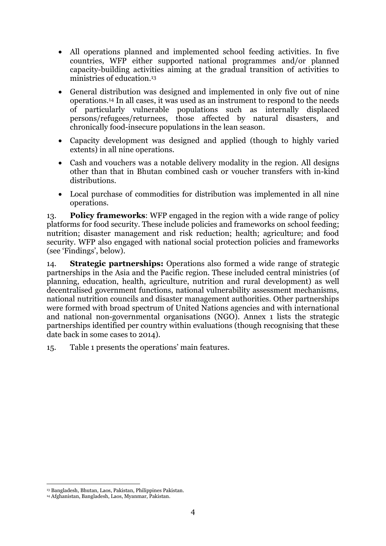- All operations planned and implemented school feeding activities. In five countries, WFP either supported national programmes and/or planned capacity-building activities aiming at the gradual transition of activities to ministries of education.<sup>13</sup>
- General distribution was designed and implemented in only five out of nine operations. <sup>14</sup> In all cases, it was used as an instrument to respond to the needs of particularly vulnerable populations such as internally displaced persons/refugees/returnees, those affected by natural disasters, and chronically food-insecure populations in the lean season.
- Capacity development was designed and applied (though to highly varied extents) in all nine operations.
- Cash and vouchers was a notable delivery modality in the region. All designs other than that in Bhutan combined cash or voucher transfers with in-kind distributions.
- Local purchase of commodities for distribution was implemented in all nine operations.

13. **Policy frameworks**: WFP engaged in the region with a wide range of policy platforms for food security. These include policies and frameworks on school feeding; nutrition; disaster management and risk reduction; health; agriculture; and food security. WFP also engaged with national social protection policies and frameworks (see 'Findings', below).

14. **Strategic partnerships:** Operations also formed a wide range of strategic partnerships in the Asia and the Pacific region. These included central ministries (of planning, education, health, agriculture, nutrition and rural development) as well decentralised government functions, national vulnerability assessment mechanisms, national nutrition councils and disaster management authorities. Other partnerships were formed with broad spectrum of United Nations agencies and with international and national non-governmental organisations (NGO). Annex 1 lists the strategic partnerships identified per country within evaluations (though recognising that these date back in some cases to 2014).

15. Table 1 presents the operations' main features.

**.** 

<sup>13</sup> Bangladesh, Bhutan, Laos, Pakistan, Philippines Pakistan.

<sup>14</sup> Afghanistan, Bangladesh, Laos, Myanmar, Pakistan.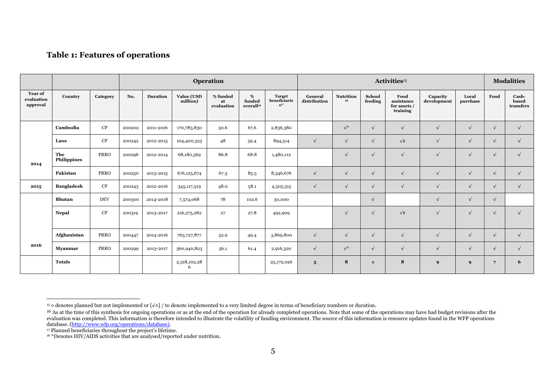#### **Table 1: Features of operations**

|                                          |                           |             |        | Operation       |                               |                              | Activities <sup>15</sup>                |                                           |                         |                 |                          | <b>Modalities</b>                              |                         |                   |                 |                             |
|------------------------------------------|---------------------------|-------------|--------|-----------------|-------------------------------|------------------------------|-----------------------------------------|-------------------------------------------|-------------------------|-----------------|--------------------------|------------------------------------------------|-------------------------|-------------------|-----------------|-----------------------------|
| <b>Year of</b><br>evaluation<br>approval | Country                   | Category    | No.    | <b>Duration</b> | <b>Value (USD</b><br>million) | % funded<br>at<br>evaluation | $\%$<br>funded<br>overall <sup>16</sup> | <b>Target</b><br>beneficiarie<br>$S^{17}$ | General<br>distribution | Nutrition<br>18 | <b>School</b><br>feeding | Food<br>assistance<br>for assets /<br>training | Capacity<br>development | Local<br>purchase | Food            | Cash-<br>based<br>transfers |
|                                          | Cambodia                  | CP          | 200202 | 2011-2016       | 170,783,830                   | 50.6                         | 67.6                                    | 2,836,380                                 |                         | $\sqrt{\ast}$   | $\sqrt{ }$               |                                                | $\sqrt{ }$              | $\sqrt{ }$        | $\sqrt{ }$      | $\sqrt{ }$                  |
|                                          | Laos                      | CP          | 200242 | 2012-2015       | 104,400,323                   | 48                           | 59.4                                    | 894,514                                   | $\sqrt{ }$              | $\sqrt{ }$      | $\sqrt{ }$               | $\sqrt{\circ}$                                 | $\sqrt{ }$              | $\sqrt{ }$        | $\sqrt{ }$      | $\sqrt{}$                   |
| 2014                                     | The<br><b>Philippines</b> | <b>PRRO</b> | 200296 | 2012-2014       | 68,180,569                    | 86.8                         | 68.8                                    | 1,480,112                                 |                         |                 | $\sqrt{ }$               |                                                | $\sqrt{ }$              | $\sqrt{ }$        | $\sqrt{ }$      | $\sqrt{}$                   |
|                                          | Pakistan                  | <b>PRRO</b> | 200250 | 2013-2015       | 676,125,674                   | 67.3                         | 85.5                                    | 8,346,676                                 | $\sqrt{ }$              | $\sqrt{ }$      | $\sqrt{ }$               |                                                | $\sqrt{ }$              | $\sqrt{ }$        | $\sqrt{ }$      | $\sqrt{}$                   |
| 2015                                     | <b>Bangladesh</b>         | CP          | 200243 | 2012-2016       | 345, 117, 519                 | 48.0                         | 58.1                                    | 4,305,315                                 | $\sqrt{ }$              | $\mathbf{v}$    | $\sqrt{ }$               |                                                | $\sqrt{ }$              | $\sqrt{ }$        | $\sqrt{ }$      | $\sqrt{}$                   |
|                                          | Bhutan                    | <b>DEV</b>  | 200300 | 2014-2018       | 7,574,068                     | 78                           | 102.6                                   | 30,000                                    |                         |                 | $\sqrt{ }$               |                                                | $\sqrt{ }$              | $\sqrt{ }$        | $\sqrt{ }$      |                             |
|                                          | Nepal                     | CP          | 200319 | 2013-2017       | 216, 275, 282                 | 27                           | 27.8                                    | 492,909                                   |                         | $\mathbf{v}$    | $\sqrt{ }$               | $\sqrt{\circ}$                                 | $\sqrt{ }$              | $\mathbf{v}$      | $\sqrt{ }$      | $\sqrt{ }$                  |
|                                          | <b>Afghanistan</b>        | <b>PRRO</b> | 200447 | 2014-2016       | 763,727,877                   | 52.9                         | 49.4                                    | 3,869,800                                 | $\sqrt{ }$              | $\mathbf{v}$    | $\sqrt{ }$               | ν                                              | $\sqrt{ }$              | $\sqrt{ }$        | $\sqrt{ }$      | $\sqrt{}$                   |
| 2016                                     | <b>Myanmar</b>            | <b>PRRO</b> | 200299 | 2013-2017       | 360,940,823                   | 56.1                         | 61.4                                    | 2,916,320                                 | $\sqrt{ }$              | $\sqrt{\ast}$   | $\sqrt{ }$               |                                                | $\sqrt{ }$              | $\sqrt{ }$        | $\sqrt{ }$      | $\sqrt{}$                   |
|                                          | <b>Totals</b>             |             |        |                 | 2,318,102,28<br>6             |                              |                                         | 25,172,026                                | $5\phantom{.0}$         | 8               | 9                        | 8                                              | 9                       | 9                 | $7\overline{ }$ | 6                           |

 $\overline{a}$ <sup>15</sup> ◊ denotes planned but not implemented or [√◊] / to denote implemented to a very limited degree in terms of beneficiary numbers or duration.

<sup>&</sup>lt;sup>16</sup> As at the time of this synthesis for ongoing operations or as at the end of the operation for already completed operations. Note that some of the operations may have had budget revisions after the evaluation was completed. This information is therefore intended to illustrate the volatility of funding environment. The source of this information is resource updates found in the WFP operations database. [\(http://www.wfp.org/operations/database\).](http://www.wfp.org/operations/database))

<sup>17</sup> Planned beneficiaries throughout the project's lifetime.

<sup>18</sup> \*Denotes HIV/AIDS activities that are analysed/reported under nutrition.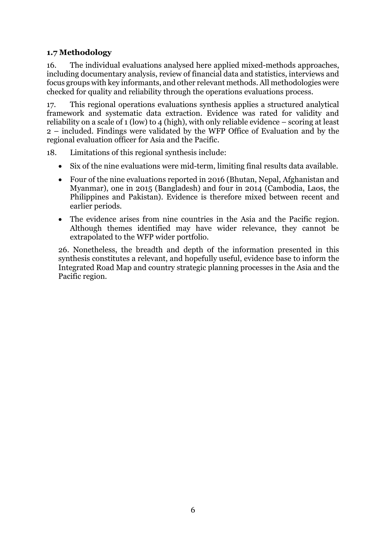## <span id="page-7-0"></span>**1.7 Methodology**

16. The individual evaluations analysed here applied mixed-methods approaches, including documentary analysis, review of financial data and statistics, interviews and focus groups with key informants, and other relevant methods. All methodologies were checked for quality and reliability through the operations evaluations process.

17. This regional operations evaluations synthesis applies a structured analytical framework and systematic data extraction. Evidence was rated for validity and reliability on a scale of 1 (low) to 4 (high), with only reliable evidence – scoring at least 2 – included. Findings were validated by the WFP Office of Evaluation and by the regional evaluation officer for Asia and the Pacific.

- 18. Limitations of this regional synthesis include:
	- Six of the nine evaluations were mid-term, limiting final results data available.
	- Four of the nine evaluations reported in 2016 (Bhutan, Nepal, Afghanistan and Myanmar), one in 2015 (Bangladesh) and four in 2014 (Cambodia, Laos, the Philippines and Pakistan). Evidence is therefore mixed between recent and earlier periods.
	- The evidence arises from nine countries in the Asia and the Pacific region. Although themes identified may have wider relevance, they cannot be extrapolated to the WFP wider portfolio.

26. Nonetheless, the breadth and depth of the information presented in this synthesis constitutes a relevant, and hopefully useful, evidence base to inform the Integrated Road Map and country strategic planning processes in the Asia and the Pacific region.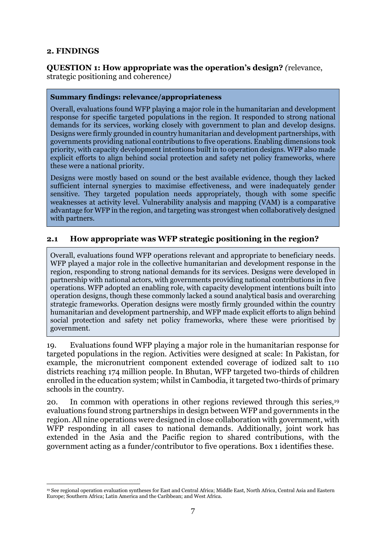#### <span id="page-8-0"></span>**2. FINDINGS**

#### <span id="page-8-1"></span>**QUESTION 1: How appropriate was the operation's design?** *(*relevance, strategic positioning and coherence*)*

#### **Summary findings: relevance/appropriateness**

Overall, evaluations found WFP playing a major role in the humanitarian and development response for specific targeted populations in the region. It responded to strong national demands for its services, working closely with government to plan and develop designs. Designs were firmly grounded in country humanitarian and development partnerships, with governments providing national contributions to five operations. Enabling dimensions took priority, with capacity development intentions built in to operation designs. WFP also made explicit efforts to align behind social protection and safety net policy frameworks, where these were a national priority.

Designs were mostly based on sound or the best available evidence, though they lacked sufficient internal synergies to maximise effectiveness, and were inadequately gender sensitive. They targeted population needs appropriately, though with some specific weaknesses at activity level. Vulnerability analysis and mapping (VAM) is a comparative advantage for WFP in the region, and targeting was strongest when collaboratively designed with partners.

#### **2.1 How appropriate was WFP strategic positioning in the region?**

Overall, evaluations found WFP operations relevant and appropriate to beneficiary needs. WFP played a major role in the collective humanitarian and development response in the region, responding to strong national demands for its services. Designs were developed in partnership with national actors, with governments providing national contributions in five operations. WFP adopted an enabling role, with capacity development intentions built into operation designs, though these commonly lacked a sound analytical basis and overarching strategic frameworks. Operation designs were mostly firmly grounded within the country humanitarian and development partnership, and WFP made explicit efforts to align behind social protection and safety net policy frameworks, where these were prioritised by government.

19. Evaluations found WFP playing a major role in the humanitarian response for targeted populations in the region. Activities were designed at scale: In Pakistan, for example, the micronutrient component extended coverage of iodized salt to 110 districts reaching 174 million people. In Bhutan, WFP targeted two-thirds of children enrolled in the education system; whilst in Cambodia, it targeted two-thirds of primary schools in the country.

20. In common with operations in other regions reviewed through this series,<sup>19</sup> evaluations found strong partnerships in design between WFP and governments in the region. All nine operations were designed in close collaboration with government, with WFP responding in all cases to national demands. Additionally, joint work has extended in the Asia and the Pacific region to shared contributions, with the government acting as a funder/contributor to five operations. Box 1 identifies these.

**<sup>.</sup>** <sup>19</sup> See regional operation evaluation syntheses for East and Central Africa; Middle East, North Africa, Central Asia and Eastern Europe; Southern Africa; Latin America and the Caribbean; and West Africa.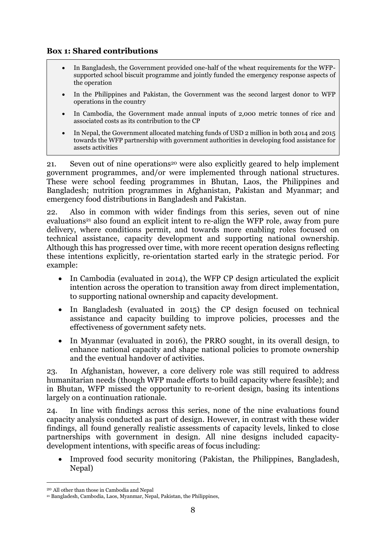#### **Box 1: Shared contributions**

- In Bangladesh, the Government provided one-half of the wheat requirements for the WFPsupported school biscuit programme and jointly funded the emergency response aspects of the operation
- In the Philippines and Pakistan, the Government was the second largest donor to WFP operations in the country
- In Cambodia, the Government made annual inputs of 2,000 metric tonnes of rice and associated costs as its contribution to the CP
- In Nepal, the Government allocated matching funds of USD 2 million in both 2014 and 2015 towards the WFP partnership with government authorities in developing food assistance for assets activities

21. Seven out of nine operations<sup>20</sup> were also explicitly geared to help implement government programmes, and/or were implemented through national structures*.* These were school feeding programmes in Bhutan, Laos, the Philippines and Bangladesh; nutrition programmes in Afghanistan, Pakistan and Myanmar; and emergency food distributions in Bangladesh and Pakistan.

22. Also in common with wider findings from this series, seven out of nine evaluations<sup>21</sup> also found an explicit intent to re-align the WFP role, away from pure delivery, where conditions permit, and towards more enabling roles focused on technical assistance, capacity development and supporting national ownership. Although this has progressed over time, with more recent operation designs reflecting these intentions explicitly, re-orientation started early in the strategic period. For example:

- In Cambodia (evaluated in 2014), the WFP CP design articulated the explicit intention across the operation to transition away from direct implementation, to supporting national ownership and capacity development.
- In Bangladesh (evaluated in 2015) the CP design focused on technical assistance and capacity building to improve policies, processes and the effectiveness of government safety nets.
- In Myanmar (evaluated in 2016), the PRRO sought, in its overall design, to enhance national capacity and shape national policies to promote ownership and the eventual handover of activities.

23. In Afghanistan, however, a core delivery role was still required to address humanitarian needs (though WFP made efforts to build capacity where feasible); and in Bhutan, WFP missed the opportunity to re-orient design, basing its intentions largely on a continuation rationale.

24. In line with findings across this series, none of the nine evaluations found capacity analysis conducted as part of design. However, in contrast with these wider findings, all found generally realistic assessments of capacity levels, linked to close partnerships with government in design. All nine designs included capacitydevelopment intentions, with specific areas of focus including:

 Improved food security monitoring (Pakistan, the Philippines, Bangladesh, Nepal)

**.** 

<sup>20</sup> All other than those in Cambodia and Nepal

<sup>21</sup> Bangladesh, Cambodia, Laos, Myanmar, Nepal, Pakistan, the Philippines,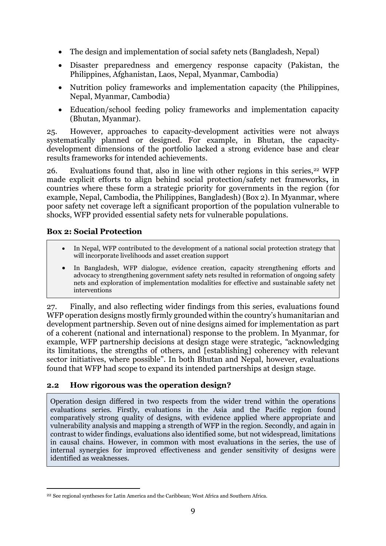- The design and implementation of social safety nets (Bangladesh, Nepal)
- Disaster preparedness and emergency response capacity (Pakistan, the Philippines, Afghanistan, Laos, Nepal, Myanmar, Cambodia)
- Nutrition policy frameworks and implementation capacity (the Philippines, Nepal, Myanmar, Cambodia)
- Education/school feeding policy frameworks and implementation capacity (Bhutan, Myanmar).

25. However, approaches to capacity-development activities were not always systematically planned or designed. For example, in Bhutan, the capacitydevelopment dimensions of the portfolio lacked a strong evidence base and clear results frameworks for intended achievements.

26. Evaluations found that, also in line with other regions in this series,  $22$  WFP made explicit efforts to align behind social protection/safety net frameworks**,** in countries where these form a strategic priority for governments in the region (for example, Nepal, Cambodia, the Philippines, Bangladesh) (Box 2). In Myanmar, where poor safety net coverage left a significant proportion of the population vulnerable to shocks, WFP provided essential safety nets for vulnerable populations.

# **Box 2: Social Protection**

1

- In Nepal, WFP contributed to the development of a national social protection strategy that will incorporate livelihoods and asset creation support
- In Bangladesh, WFP dialogue, evidence creation, capacity strengthening efforts and advocacy to strengthening government safety nets resulted in reformation of ongoing safety nets and exploration of implementation modalities for effective and sustainable safety net interventions

27. Finally, and also reflecting wider findings from this series, evaluations found WFP operation designs mostly firmly grounded within the country's humanitarian and development partnership. Seven out of nine designs aimed for implementation as part of a coherent (national and international) response to the problem. In Myanmar, for example, WFP partnership decisions at design stage were strategic, *"*acknowledging its limitations, the strengths of others, and [establishing] coherency with relevant sector initiatives, where possible". In both Bhutan and Nepal, however, evaluations found that WFP had scope to expand its intended partnerships at design stage.

#### **2.2 How rigorous was the operation design?**

Operation design differed in two respects from the wider trend within the operations evaluations series. Firstly, evaluations in the Asia and the Pacific region found comparatively strong quality of designs, with evidence applied where appropriate and vulnerability analysis and mapping a strength of WFP in the region. Secondly, and again in contrast to wider findings, evaluations also identified some, but not widespread, limitations in causal chains. However, in common with most evaluations in the series, the use of internal synergies for improved effectiveness and gender sensitivity of designs were identified as weaknesses.

<sup>22</sup> See regional syntheses for Latin America and the Caribbean; West Africa and Southern Africa.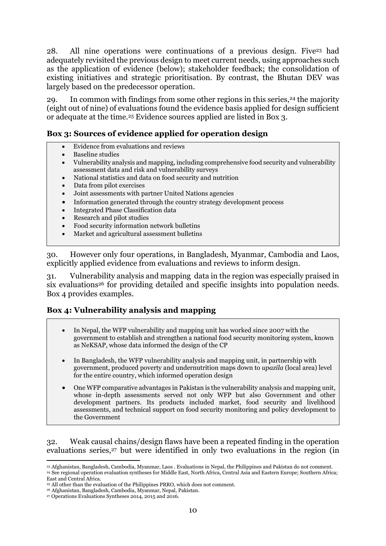28. All nine operations were continuations of a previous design. Five<sup>23</sup> had adequately revisited the previous design to meet current needs, using approaches such as the application of evidence (below); stakeholder feedback; the consolidation of existing initiatives and strategic prioritisation. By contrast, the Bhutan DEV was largely based on the predecessor operation.

29. In common with findings from some other regions in this series,<sup>24</sup> the majority (eight out of nine) of evaluations found the evidence basis applied for design sufficient or adequate at the time.<sup>25</sup> Evidence sources applied are listed in Box 3.

#### **Box 3: Sources of evidence applied for operation design**

- Evidence from evaluations and reviews
- Baseline studies
- Vulnerability analysis and mapping, including comprehensive food security and vulnerability assessment data and risk and vulnerability surveys
- National statistics and data on food security and nutrition
- Data from pilot exercises
- Joint assessments with partner United Nations agencies
- Information generated through the country strategy development process
- Integrated Phase Classification data
- Research and pilot studies
- Food security information network bulletins
- Market and agricultural assessment bulletins

30. However only four operations, in Bangladesh, Myanmar, Cambodia and Laos, explicitly applied evidence from evaluations and reviews to inform design.

31. Vulnerability analysis and mapping data in the region was especially praised in six evaluations<sup>26</sup> for providing detailed and specific insights into population needs. Box 4 provides examples.

#### **Box 4: Vulnerability analysis and mapping**

- In Nepal, the WFP vulnerability and mapping unit has worked since 2007 with the government to establish and strengthen a national food security monitoring system, known as NeKSAP, whose data informed the design of the CP
- In Bangladesh, the WFP vulnerability analysis and mapping unit, in partnership with government, produced poverty and undernutrition maps down to *upazila* (local area) level for the entire country, which informed operation design
- One WFP comparative advantages in Pakistan is the vulnerability analysis and mapping unit, whose in-depth assessments served not only WFP but also Government and other development partners. Its products included market, food security and livelihood assessments, and technical support on food security monitoring and policy development to the Government

#### 32. Weak causal chains/design flaws have been a repeated finding in the operation evaluations series,<sup>27</sup> but were identified in only two evaluations in the region (in

**<sup>.</sup>** <sup>23</sup> Afghanistan, Bangladesh, Cambodia, Myanmar, Laos . Evaluations in Nepal, the Philippines and Pakistan do not comment. <sup>24</sup> See regional operation evaluation syntheses for Middle East, North Africa, Central Asia and Eastern Europe; Southern Africa; East and Central Africa.

<sup>25</sup> All other than the evaluation of the Philippines PRRO, which does not comment.

<sup>26</sup> Afghanistan, Bangladesh, Cambodia, Myanmar, Nepal, Pakistan.

<sup>27</sup> Operations Evaluations Syntheses 2014, 2015 and 2016.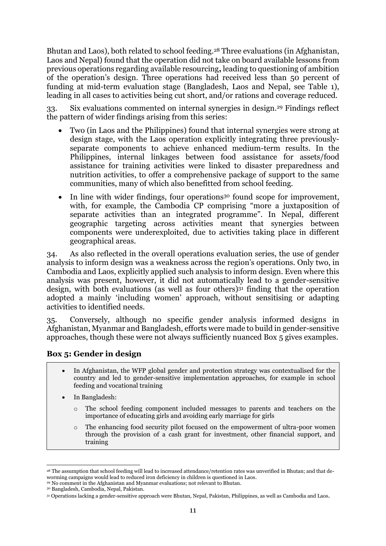Bhutan and Laos), both related to school feeding.<sup>28</sup> Three evaluations (in Afghanistan, Laos and Nepal) found that the operation did not take on board available lessons from previous operations regarding available resourcing**,** leading to questioning of ambition of the operation's design. Three operations had received less than 50 percent of funding at mid-term evaluation stage (Bangladesh, Laos and Nepal, see Table 1), leading in all cases to activities being cut short, and/or rations and coverage reduced.

33. Six evaluations commented on internal synergies in design. <sup>29</sup> Findings reflect the pattern of wider findings arising from this series:

- Two (in Laos and the Philippines) found that internal synergies were strong at design stage, with the Laos operation explicitly integrating three previouslyseparate components to achieve enhanced medium-term results. In the Philippines, internal linkages between food assistance for assets/food assistance for training activities were linked to disaster preparedness and nutrition activities, to offer a comprehensive package of support to the same communities, many of which also benefitted from school feeding.
- $\bullet$  In line with wider findings, four operations<sup>30</sup> found scope for improvement, with, for example, the Cambodia CP comprising "more a juxtaposition of separate activities than an integrated programme". In Nepal, different geographic targeting across activities meant that synergies between components were underexploited, due to activities taking place in different geographical areas.

34. As also reflected in the overall operations evaluation series, the use of gender analysis to inform design was a weakness across the region's operations. Only two, in Cambodia and Laos, explicitly applied such analysis to inform design. Even where this analysis was present, however, it did not automatically lead to a gender-sensitive design, with both evaluations (as well as four others)<sup>31</sup> finding that the operation adopted a mainly 'including women' approach, without sensitising or adapting activities to identified needs.

35. Conversely, although no specific gender analysis informed designs in Afghanistan, Myanmar and Bangladesh, efforts were made to build in gender-sensitive approaches, though these were not always sufficiently nuanced Box 5 gives examples.

#### **Box 5: Gender in design**

- In Afghanistan, the WFP global gender and protection strategy was contextualised for the country and led to gender-sensitive implementation approaches, for example in school feeding and vocational training
- In Bangladesh:
	- o The school feeding component included messages to parents and teachers on the importance of educating girls and avoiding early marriage for girls
	- The enhancing food security pilot focused on the empowerment of ultra-poor women through the provision of a cash grant for investment, other financial support, and training

<sup>1</sup> <sup>28</sup> The assumption that school feeding will lead to increased attendance/retention rates was unverified in Bhutan; and that deworming campaigns would lead to reduced iron deficiency in children is questioned in Laos.

<sup>&</sup>lt;sup>29</sup> No comment in the Afghanistan and Myanmar evaluations; not relevant to Bhutan.

<sup>30</sup> Bangladesh, Cambodia, Nepal, Pakistan.

<sup>31</sup> Operations lacking a gender-sensitive approach were Bhutan, Nepal, Pakistan, Philippines, as well as Cambodia and Laos.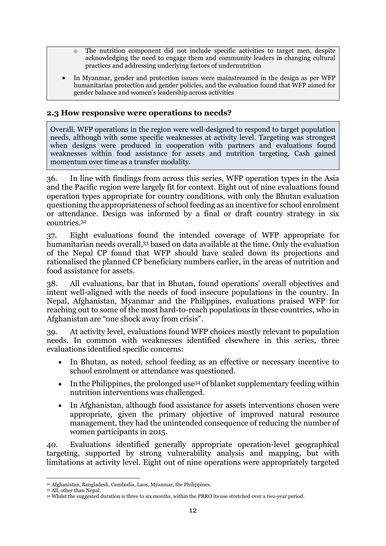- The nutrition component did not include specific activities to target men, despite acknowledging the need to engage them and community leaders in changing cultural practices and addressing underlying factors of undernutrition
- In Myanmar, gender and protection issues were mainstreamed in the design as per WFP humanitarian protection and gender policies, and the evaluation found that WFP aimed for gender balance and women's leadership across activities

#### **2.3 How responsive were operations to needs?**

Overall, WFP operations in the region were well-designed to respond to target population needs, although with some specific weaknesses at activity level. Targeting was strongest when designs were produced in cooperation with partners and evaluations found weaknesses within food assistance for assets and nutrition targeting. Cash gained momentum over time as a transfer modality.

36. In line with findings from across this series, WFP operation types in the Asia and the Pacific region were largely fit for context. Eight out of nine evaluations found operation types appropriate for country conditions, with only the Bhutan evaluation questioning the appropriateness of school feeding as an incentive for school enrolment or attendance. Design was informed by a final or draft country strategy in six countries.<sup>32</sup>

37. Eight evaluations found the intended coverage of WFP appropriate for humanitarian needs overall, <sup>33</sup> based on data available at the time. Only the evaluation of the Nepal CP found that WFP should have scaled down its projections and rationalised the planned CP beneficiary numbers earlier, in the areas of nutrition and food assistance for assets.

38. All evaluations, bar that in Bhutan, found operations' overall objectives and intent well-aligned with the needs of food insecure populations in the country. In Nepal, Afghanistan, Myanmar and the Philippines, evaluations praised WFP for reaching out to some of the most hard-to-reach populations in these countries, who in Afghanistan are "one shock away from crisis".

39. At activity level, evaluations found WFP choices mostly relevant to population needs. In common with weaknesses identified elsewhere in this series, three evaluations identified specific concerns:

- In Bhutan, as noted, school feeding as an effective or necessary incentive to school enrolment or attendance was questioned.
- In the Philippines, the prolonged use<sup>34</sup> of blanket supplementary feeding within nutrition interventions was challenged.
- In Afghanistan, although food assistance for assets interventions chosen were appropriate, given the primary objective of improved natural resource management, they had the unintended consequence of reducing the number of women participants in 2015.

40. Evaluations identified generally appropriate operation-level geographical targeting, supported by strong vulnerability analysis and mapping, but with limitations at activity level. Eight out of nine operations were appropriately targeted

**<sup>.</sup>** <sup>32</sup> Afghanistan, Bangladesh, Cambodia, Laos, Myanmar, the Philippines.

<sup>33</sup> All, other than Nepal.

<sup>34</sup> Whilst the suggested duration is three to six months, within the PRRO its use stretched over a two-year period.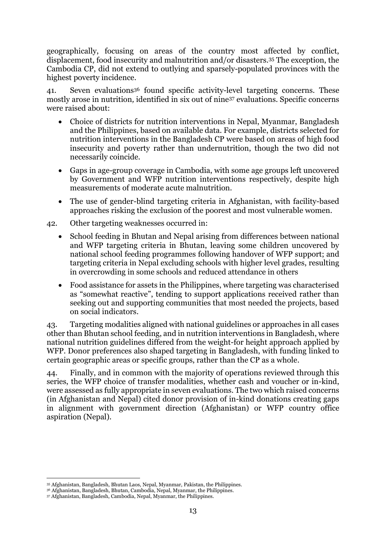geographically, focusing on areas of the country most affected by conflict, displacement, food insecurity and malnutrition and/or disasters.<sup>35</sup> The exception, the Cambodia CP, did not extend to outlying and sparsely-populated provinces with the highest poverty incidence.

41. Seven evaluations<sup>36</sup> found specific activity-level targeting concerns. These mostly arose in nutrition*,* identified in six out of nine<sup>37</sup> evaluations. Specific concerns were raised about:

- Choice of districts for nutrition interventions in Nepal, Myanmar, Bangladesh and the Philippines, based on available data. For example, districts selected for nutrition interventions in the Bangladesh CP were based on areas of high food insecurity and poverty rather than undernutrition, though the two did not necessarily coincide.
- Gaps in age-group coverage in Cambodia, with some age groups left uncovered by Government and WFP nutrition interventions respectively, despite high measurements of moderate acute malnutrition.
- The use of gender-blind targeting criteria in Afghanistan, with facility-based approaches risking the exclusion of the poorest and most vulnerable women.
- 42. Other targeting weaknesses occurred in:
	- School feeding in Bhutan and Nepal arising from differences between national and WFP targeting criteria in Bhutan, leaving some children uncovered by national school feeding programmes following handover of WFP support; and targeting criteria in Nepal excluding schools with higher level grades, resulting in overcrowding in some schools and reduced attendance in others
	- Food assistance for assets in the Philippines, where targeting was characterised as "somewhat reactive", tending to support applications received rather than seeking out and supporting communities that most needed the projects, based on social indicators.

43. Targeting modalities aligned with national guidelines or approaches in all cases other than Bhutan school feeding, and in nutrition interventions in Bangladesh, where national nutrition guidelines differed from the weight-for height approach applied by WFP. Donor preferences also shaped targeting in Bangladesh, with funding linked to certain geographic areas or specific groups, rather than the CP as a whole.

44. Finally, and in common with the majority of operations reviewed through this series, the WFP choice of transfer modalities, whether cash and voucher or in-kind, were assessed as fully appropriate in seven evaluations. The two which raised concerns (in Afghanistan and Nepal) cited donor provision of in-kind donations creating gaps in alignment with government direction (Afghanistan) or WFP country office aspiration (Nepal).

**<sup>.</sup>** <sup>35</sup> Afghanistan, Bangladesh, Bhutan Laos, Nepal, Myanmar, Pakistan, the Philippines.

<sup>36</sup> Afghanistan, Bangladesh, Bhutan, Cambodia, Nepal, Myanmar, the Philippines.

<sup>37</sup> Afghanistan, Bangladesh, Cambodia, Nepal, Myanmar, the Philippines.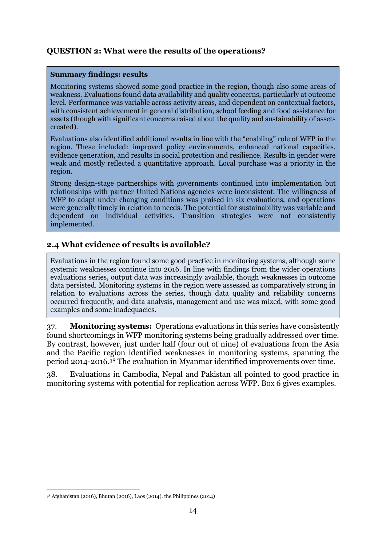#### <span id="page-15-0"></span>**QUESTION 2: What were the results of the operations?**

#### **Summary findings: results**

Monitoring systems showed some good practice in the region, though also some areas of weakness. Evaluations found data availability and quality concerns, particularly at outcome level. Performance was variable across activity areas, and dependent on contextual factors, with consistent achievement in general distribution, school feeding and food assistance for assets (though with significant concerns raised about the quality and sustainability of assets created).

Evaluations also identified additional results in line with the "enabling" role of WFP in the region. These included: improved policy environments, enhanced national capacities, evidence generation, and results in social protection and resilience. Results in gender were weak and mostly reflected a quantitative approach. Local purchase was a priority in the region.

Strong design-stage partnerships with governments continued into implementation but relationships with partner United Nations agencies were inconsistent. The willingness of WFP to adapt under changing conditions was praised in six evaluations, and operations were generally timely in relation to needs. The potential for sustainability was variable and dependent on individual activities. Transition strategies were not consistently implemented.

#### **2.4 What evidence of results is available?**

Evaluations in the region found some good practice in monitoring systems, although some systemic weaknesses continue into 2016. In line with findings from the wider operations evaluations series, output data was increasingly available, though weaknesses in outcome data persisted. Monitoring systems in the region were assessed as comparatively strong in relation to evaluations across the series, though data quality and reliability concerns occurred frequently, and data analysis, management and use was mixed, with some good examples and some inadequacies.

37. **Monitoring systems:** Operations evaluations in this series have consistently found shortcomings in WFP monitoring systems being gradually addressed over time. By contrast, however, just under half (four out of nine) of evaluations from the Asia and the Pacific region identified weaknesses in monitoring systems, spanning the period 2014-2016.<sup>38</sup> The evaluation in Myanmar identified improvements over time.

38. Evaluations in Cambodia, Nepal and Pakistan all pointed to good practice in monitoring systems with potential for replication across WFP. Box 6 gives examples.

<sup>1</sup> <sup>38</sup> Afghanistan (2016), Bhutan (2016), Laos (2014), the Philippines (2014)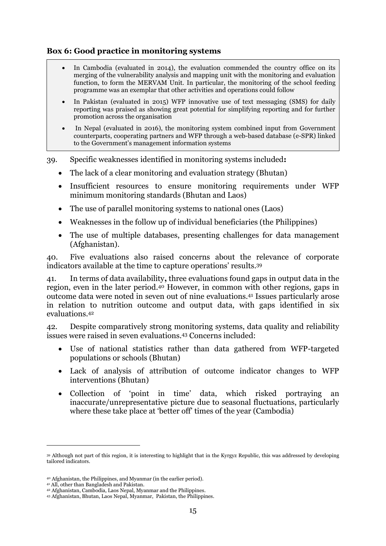#### **Box 6: Good practice in monitoring systems**

- In Cambodia (evaluated in 2014), the evaluation commended the country office on its merging of the vulnerability analysis and mapping unit with the monitoring and evaluation function, to form the MERVAM Unit. In particular, the monitoring of the school feeding programme was an exemplar that other activities and operations could follow
- In Pakistan (evaluated in 2015) WFP innovative use of text messaging (SMS) for daily reporting was praised as showing great potential for simplifying reporting and for further promotion across the organisation
- In Nepal (evaluated in 2016), the monitoring system combined input from Government counterparts, cooperating partners and WFP through a web-based database (e-SPR) linked to the Government's management information systems

39. Specific weaknesses identified in monitoring systems included**:** 

- The lack of a clear monitoring and evaluation strategy (Bhutan)
- Insufficient resources to ensure monitoring requirements under WFP minimum monitoring standards (Bhutan and Laos)
- The use of parallel monitoring systems to national ones (Laos)
- Weaknesses in the follow up of individual beneficiaries (the Philippines)
- The use of multiple databases, presenting challenges for data management (Afghanistan).

40. Five evaluations also raised concerns about the relevance of corporate indicators available at the time to capture operations' results.<sup>39</sup>

41. In terms of data availability**,** three evaluations found gaps in output data in the region, even in the later period. <sup>40</sup> However, in common with other regions, gaps in outcome data were noted in seven out of nine evaluations. <sup>41</sup> Issues particularly arose in relation to nutrition outcome and output data, with gaps identified in six evaluations.<sup>42</sup>

42. Despite comparatively strong monitoring systems, data quality and reliability issues were raised in seven evaluations.<sup>43</sup> Concerns included:

- Use of national statistics rather than data gathered from WFP-targeted populations or schools (Bhutan)
- Lack of analysis of attribution of outcome indicator changes to WFP interventions (Bhutan)
- Collection of 'point in time' data, which risked portraying an inaccurate/unrepresentative picture due to seasonal fluctuations, particularly where these take place at 'better off' times of the year (Cambodia)

**.** 

<sup>39</sup> Although not part of this region, it is interesting to highlight that in the Kyrgyz Republic, this was addressed by developing tailored indicators.

<sup>40</sup> Afghanistan, the Philippines, and Myanmar (in the earlier period).

<sup>41</sup> All, other than Bangladesh and Pakistan.

<sup>42</sup> Afghanistan, Cambodia, Laos Nepal, Myanmar and the Philippines.

<sup>43</sup> Afghanistan, Bhutan, Laos Nepal, Myanmar, Pakistan, the Philippines.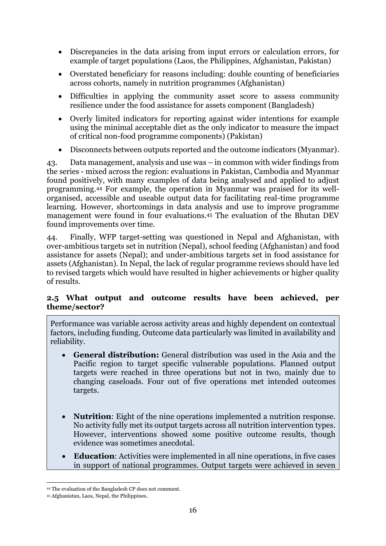- Discrepancies in the data arising from input errors or calculation errors, for example of target populations (Laos, the Philippines, Afghanistan, Pakistan)
- Overstated beneficiary for reasons including: double counting of beneficiaries across cohorts, namely in nutrition programmes (Afghanistan)
- Difficulties in applying the community asset score to assess community resilience under the food assistance for assets component (Bangladesh)
- Overly limited indicators for reporting against wider intentions for example using the minimal acceptable diet as the only indicator to measure the impact of critical non-food programme components) (Pakistan)
- Disconnects between outputs reported and the outcome indicators (Myanmar).

43. Data management, analysis and use was – in common with wider findings from the series - mixed across the region: evaluations in Pakistan, Cambodia and Myanmar found positively, with many examples of data being analysed and applied to adjust programming.<sup>44</sup> For example, the operation in Myanmar was praised for its wellorganised, accessible and useable output data for facilitating real-time programme learning. However, shortcomings in data analysis and use to improve programme management were found in four evaluations. <sup>45</sup> The evaluation of the Bhutan DEV found improvements over time.

44. Finally, WFP target-setting was questioned in Nepal and Afghanistan, with over-ambitious targets set in nutrition (Nepal), school feeding (Afghanistan) and food assistance for assets (Nepal); and under-ambitious targets set in food assistance for assets (Afghanistan). In Nepal, the lack of regular programme reviews should have led to revised targets which would have resulted in higher achievements or higher quality of results.

#### **2.5 What output and outcome results have been achieved, per theme/sector?**

Performance was variable across activity areas and highly dependent on contextual factors, including funding. Outcome data particularly was limited in availability and reliability.

- **General distribution:** General distribution was used in the Asia and the Pacific region to target specific vulnerable populations. Planned output targets were reached in three operations but not in two, mainly due to changing caseloads. Four out of five operations met intended outcomes targets.
- **Nutrition**: Eight of the nine operations implemented a nutrition response. No activity fully met its output targets across all nutrition intervention types. However, interventions showed some positive outcome results, though evidence was sometimes anecdotal.
- **Education**: Activities were implemented in all nine operations, in five cases in support of national programmes. Output targets were achieved in seven

**<sup>.</sup>** <sup>44</sup> The evaluation of the Bangladesh CP does not comment.

<sup>45</sup> Afghanistan, Laos, Nepal, the Philippines.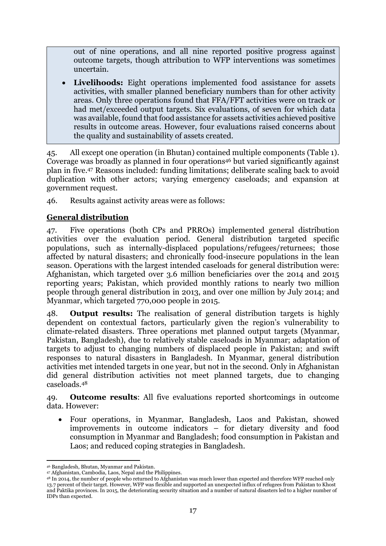out of nine operations, and all nine reported positive progress against outcome targets, though attribution to WFP interventions was sometimes uncertain.

 **Livelihoods:** Eight operations implemented food assistance for assets activities, with smaller planned beneficiary numbers than for other activity areas. Only three operations found that FFA/FFT activities were on track or had met/exceeded output targets. Six evaluations, of seven for which data was available, found that food assistance for assets activities achieved positive results in outcome areas. However, four evaluations raised concerns about the quality and sustainability of assets created.

45. All except one operation (in Bhutan) contained multiple components (Table 1). Coverage was broadly as planned in four operations<sup>46</sup> but varied significantly against plan in five.<sup>47</sup> Reasons included: funding limitations; deliberate scaling back to avoid duplication with other actors; varying emergency caseloads; and expansion at government request.

46. Results against activity areas were as follows:

### **General distribution**

47. Five operations (both CPs and PRROs) implemented general distribution activities over the evaluation period. General distribution targeted specific populations, such as internally-displaced populations/refugees/returnees; those affected by natural disasters; and chronically food-insecure populations in the lean season. Operations with the largest intended caseloads for general distribution were: Afghanistan, which targeted over 3.6 million beneficiaries over the 2014 and 2015 reporting years; Pakistan, which provided monthly rations to nearly two million people through general distribution in 2013, and over one million by July 2014; and Myanmar, which targeted 770,000 people in 2015.

48. **Output results:** The realisation of general distribution targets is highly dependent on contextual factors, particularly given the region's vulnerability to climate-related disasters. Three operations met planned output targets (Myanmar, Pakistan, Bangladesh), due to relatively stable caseloads in Myanmar; adaptation of targets to adjust to changing numbers of displaced people in Pakistan; and swift responses to natural disasters in Bangladesh. In Myanmar, general distribution activities met intended targets in one year, but not in the second. Only in Afghanistan did general distribution activities not meet planned targets, due to changing caseloads. 48

49. **Outcome results**: All five evaluations reported shortcomings in outcome data. However:

 Four operations, in Myanmar, Bangladesh, Laos and Pakistan, showed improvements in outcome indicators – for dietary diversity and food consumption in Myanmar and Bangladesh; food consumption in Pakistan and Laos; and reduced coping strategies in Bangladesh.

**<sup>.</sup>** <sup>46</sup> Bangladesh, Bhutan, Myanmar and Pakistan.

<sup>47</sup> Afghanistan, Cambodia, Laos, Nepal and the Philippines.

<sup>48</sup> In 2014, the number of people who returned to Afghanistan was much lower than expected and therefore WFP reached only 13.7 percent of their target. However, WFP was flexible and supported an unexpected influx of refugees from Pakistan to Khost and Paktika provinces. In 2015, the deteriorating security situation and a number of natural disasters led to a higher number of IDPs than expected.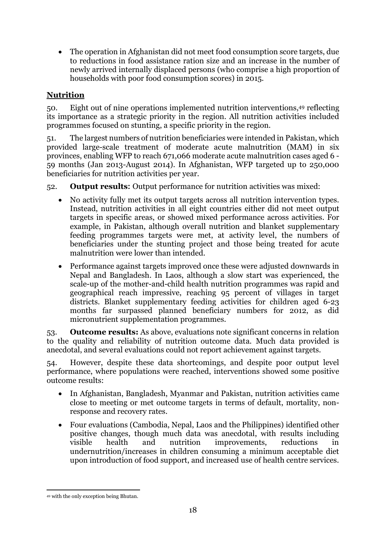The operation in Afghanistan did not meet food consumption score targets, due to reductions in food assistance ration size and an increase in the number of newly arrived internally displaced persons (who comprise a high proportion of households with poor food consumption scores) in 2015.

## **Nutrition**

50. Eight out of nine operations implemented nutrition interventions, <sup>49</sup> reflecting its importance as a strategic priority in the region. All nutrition activities included programmes focused on stunting, a specific priority in the region.

51. The largest numbers of nutrition beneficiaries were intended in Pakistan, which provided large-scale treatment of moderate acute malnutrition (MAM) in six provinces, enabling WFP to reach 671,066 moderate acute malnutrition cases aged 6 - 59 months (Jan 2013-August 2014). In Afghanistan, WFP targeted up to 250,000 beneficiaries for nutrition activities per year.

52. **Output results:** Output performance for nutrition activities was mixed:

- No activity fully met its output targets across all nutrition intervention types. Instead, nutrition activities in all eight countries either did not meet output targets in specific areas, or showed mixed performance across activities. For example, in Pakistan, although overall nutrition and blanket supplementary feeding programmes targets were met, at activity level, the numbers of beneficiaries under the stunting project and those being treated for acute malnutrition were lower than intended.
- Performance against targets improved once these were adjusted downwards in Nepal and Bangladesh. In Laos, although a slow start was experienced, the scale-up of the mother-and-child health nutrition programmes was rapid and geographical reach impressive, reaching 95 percent of villages in target districts. Blanket supplementary feeding activities for children aged 6-23 months far surpassed planned beneficiary numbers for 2012, as did micronutrient supplementation programmes.

53. **Outcome results:** As above, evaluations note significant concerns in relation to the quality and reliability of nutrition outcome data. Much data provided is anecdotal, and several evaluations could not report achievement against targets.

54. However, despite these data shortcomings, and despite poor output level performance, where populations were reached, interventions showed some positive outcome results:

- In Afghanistan, Bangladesh, Myanmar and Pakistan, nutrition activities came close to meeting or met outcome targets in terms of default, mortality, nonresponse and recovery rates.
- Four evaluations (Cambodia, Nepal, Laos and the Philippines) identified other positive changes, though much data was anecdotal, with results including visible health and nutrition improvements, reductions in undernutrition/increases in children consuming a minimum acceptable diet upon introduction of food support, and increased use of health centre services.

<sup>1</sup> <sup>49</sup> with the only exception being Bhutan.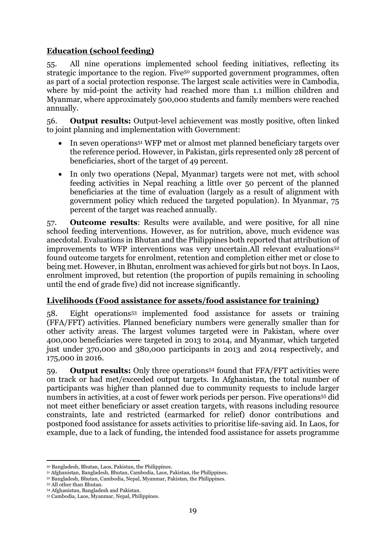### **Education (school feeding)**

55. All nine operations implemented school feeding initiatives, reflecting its strategic importance to the region. Five<sup>50</sup> supported government programmes, often as part of a social protection response. The largest scale activities were in Cambodia, where by mid-point the activity had reached more than 1.1 million children and Myanmar, where approximately 500,000 students and family members were reached annually.

56. **Output results:** Output-level achievement was mostly positive, often linked to joint planning and implementation with Government:

- In seven operations<sup>51</sup> WFP met or almost met planned beneficiary targets over the reference period. However, in Pakistan, girls represented only 28 percent of beneficiaries, short of the target of 49 percent.
- In only two operations (Nepal, Myanmar) targets were not met, with school feeding activities in Nepal reaching a little over 50 percent of the planned beneficiaries at the time of evaluation (largely as a result of alignment with government policy which reduced the targeted population). In Myanmar, 75 percent of the target was reached annually.

57. **Outcome results**: Results were available, and were positive, for all nine school feeding interventions. However, as for nutrition, above, much evidence was anecdotal. Evaluations in Bhutan and the Philippines both reported that attribution of improvements to WFP interventions was very uncertain.All relevant evaluations<sup>52</sup> found outcome targets for enrolment, retention and completion either met or close to being met. However, in Bhutan, enrolment was achieved for girls but not boys.In Laos, enrolment improved, but retention (the proportion of pupils remaining in schooling until the end of grade five) did not increase significantly.

#### **Livelihoods (Food assistance for assets/food assistance for training)**

58. Eight operations<sup>53</sup> implemented food assistance for assets or training (FFA/FFT) activities. Planned beneficiary numbers were generally smaller than for other activity areas. The largest volumes targeted were in Pakistan, where over 400,000 beneficiaries were targeted in 2013 to 2014, and Myanmar, which targeted just under 370,000 and 380,000 participants in 2013 and 2014 respectively, and 175,000 in 2016.

59. **Output results:** Only three operations<sup>54</sup> found that FFA/FFT activities were on track or had met/exceeded output targets. In Afghanistan, the total number of participants was higher than planned due to community requests to include larger numbers in activities, at a cost of fewer work periods per person. Five operations<sup>55</sup> did not meet either beneficiary or asset creation targets, with reasons including resource constraints, late and restricted (earmarked for relief) donor contributions and postponed food assistance for assets activities to prioritise life-saving aid. In Laos, for example, due to a lack of funding, the intended food assistance for assets programme

**<sup>.</sup>** <sup>50</sup> Bangladesh, Bhutan, Laos, Pakistan, the Philippines.

<sup>51</sup> Afghanistan, Bangladesh, Bhutan, Cambodia, Laos, Pakistan, the Philippines.

<sup>52</sup> Bangladesh, Bhutan, Cambodia, Nepal, Myanmar, Pakistan, the Philippines.

<sup>53</sup> All other than Bhutan.

<sup>54</sup> Afghanistan, Bangladesh and Pakistan.

<sup>55</sup> Cambodia, Laos, Myanmar, Nepal, Philippines.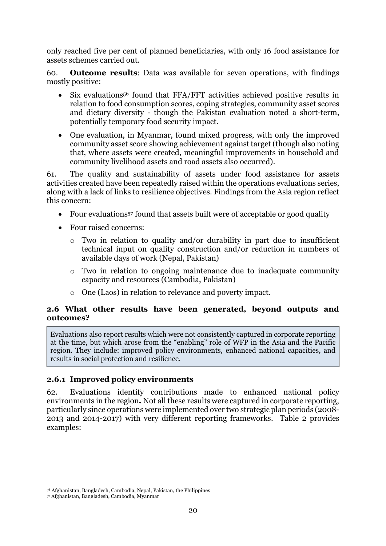only reached five per cent of planned beneficiaries, with only 16 food assistance for assets schemes carried out.

60. **Outcome results**: Data was available for seven operations, with findings mostly positive:

- Six evaluations<sup>56</sup> found that FFA/FFT activities achieved positive results in relation to food consumption scores, coping strategies, community asset scores and dietary diversity - though the Pakistan evaluation noted a short-term, potentially temporary food security impact.
- One evaluation, in Myanmar, found mixed progress, with only the improved community asset score showing achievement against target (though also noting that, where assets were created, meaningful improvements in household and community livelihood assets and road assets also occurred).

61. The quality and sustainability of assets under food assistance for assets activities created have been repeatedly raised within the operations evaluations series, along with a lack of links to resilience objectives. Findings from the Asia region reflect this concern:

- Four evaluations<sup>57</sup> found that assets built were of acceptable or good quality
- Four raised concerns:
	- o Two in relation to quality and/or durability in part due to insufficient technical input on quality construction and/or reduction in numbers of available days of work (Nepal, Pakistan)
	- o Two in relation to ongoing maintenance due to inadequate community capacity and resources (Cambodia, Pakistan)
	- o One (Laos) in relation to relevance and poverty impact.

#### **2.6 What other results have been generated, beyond outputs and outcomes?**

Evaluations also report results which were not consistently captured in corporate reporting at the time, but which arose from the "enabling" role of WFP in the Asia and the Pacific region. They include: improved policy environments, enhanced national capacities, and results in social protection and resilience.

#### **2.6.1 Improved policy environments**

62. Evaluations identify contributions made to enhanced national policy environments in the region*.* Not all these results were captured in corporate reporting, particularly since operations were implemented over two strategic plan periods (2008- 2013 and 2014-2017) with very different reporting frameworks. Table 2 provides examples:

**<sup>.</sup>** <sup>56</sup> Afghanistan, Bangladesh, Cambodia, Nepal, Pakistan, the Philippines

<sup>57</sup> Afghanistan, Bangladesh, Cambodia, Myanmar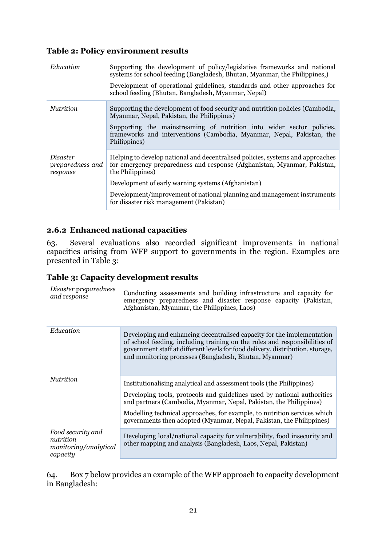#### **Table 2: Policy environment results**

| Education                                | Supporting the development of policy/legislative frameworks and national<br>systems for school feeding (Bangladesh, Bhutan, Myanmar, the Philippines,)<br>Development of operational guidelines, standards and other approaches for<br>school feeding (Bhutan, Bangladesh, Myanmar, Nepal)                                                                 |  |  |  |  |
|------------------------------------------|------------------------------------------------------------------------------------------------------------------------------------------------------------------------------------------------------------------------------------------------------------------------------------------------------------------------------------------------------------|--|--|--|--|
| <i>Nutrition</i>                         | Supporting the development of food security and nutrition policies (Cambodia,<br>Myanmar, Nepal, Pakistan, the Philippines)<br>Supporting the mainstreaming of nutrition into wider sector policies,<br>frameworks and interventions (Cambodia, Myanmar, Nepal, Pakistan, the<br>Philippines)                                                              |  |  |  |  |
| Disaster<br>preparedness and<br>response | Helping to develop national and decentralised policies, systems and approaches<br>for emergency preparedness and response (Afghanistan, Myanmar, Pakistan,<br>the Philippines)<br>Development of early warning systems (Afghanistan)<br>Development/improvement of national planning and management instruments<br>for disaster risk management (Pakistan) |  |  |  |  |

#### **2.6.2 Enhanced national capacities**

63. Several evaluations also recorded significant improvements in national capacities arising from WFP support to governments in the region. Examples are presented in Table 3:

#### **Table 3: Capacity development results**

| Disaster preparedness<br>and response                               | Conducting assessments and building infrastructure and capacity for<br>emergency preparedness and disaster response capacity (Pakistan,<br>Afghanistan, Myanmar, the Philippines, Laos)                                                                                                          |
|---------------------------------------------------------------------|--------------------------------------------------------------------------------------------------------------------------------------------------------------------------------------------------------------------------------------------------------------------------------------------------|
| Education                                                           | Developing and enhancing decentralised capacity for the implementation<br>of school feeding, including training on the roles and responsibilities of<br>government staff at different levels for food delivery, distribution, storage,<br>and monitoring processes (Bangladesh, Bhutan, Myanmar) |
| <i>Nutrition</i>                                                    | Institutionalising analytical and assessment tools (the Philippines)                                                                                                                                                                                                                             |
|                                                                     | Developing tools, protocols and guidelines used by national authorities<br>and partners (Cambodia, Myanmar, Nepal, Pakistan, the Philippines)                                                                                                                                                    |
|                                                                     | Modelling technical approaches, for example, to nutrition services which<br>governments then adopted (Myanmar, Nepal, Pakistan, the Philippines)                                                                                                                                                 |
| Food security and<br>nutrition<br>monitoring/analytical<br>capacity | Developing local/national capacity for vulnerability, food insecurity and<br>other mapping and analysis (Bangladesh, Laos, Nepal, Pakistan)                                                                                                                                                      |

64. Box 7 below provides an example of the WFP approach to capacity development in Bangladesh: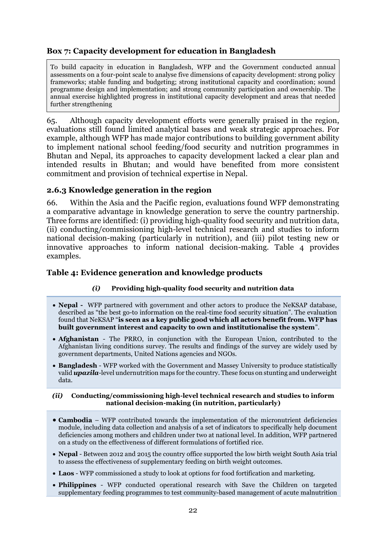### **Box 7: Capacity development for education in Bangladesh**

To build capacity in education in Bangladesh, WFP and the Government conducted annual assessments on a four-point scale to analyse five dimensions of capacity development: strong policy frameworks; stable funding and budgeting; strong institutional capacity and coordination; sound programme design and implementation; and strong community participation and ownership. The annual exercise highlighted progress in institutional capacity development and areas that needed further strengthening

65. Although capacity development efforts were generally praised in the region, evaluations still found limited analytical bases and weak strategic approaches. For example, although WFP has made major contributions to building government ability to implement national school feeding/food security and nutrition programmes in Bhutan and Nepal, its approaches to capacity development lacked a clear plan and intended results in Bhutan; and would have benefited from more consistent commitment and provision of technical expertise in Nepal.

#### **2.6.3 Knowledge generation in the region**

66. Within the Asia and the Pacific region, evaluations found WFP demonstrating a comparative advantage in knowledge generation to serve the country partnership. Three forms are identified: (i) providing high-quality food security and nutrition data, (ii) conducting/commissioning high-level technical research and studies to inform national decision-making (particularly in nutrition), and (iii) pilot testing new or innovative approaches to inform national decision-making. Table 4 provides examples.

#### **Table 4: Evidence generation and knowledge products**

#### *(i)* **Providing high-quality food security and nutrition data**

- **Nepal -** WFP partnered with government and other actors to produce the NeKSAP database, described as "the best go-to information on the real-time food security situation". The evaluation found that NeKSAP "**is seen as a key public good which all actors benefit from. WFP has built government interest and capacity to own and institutionalise the system**".
- **Afghanistan** The PRRO, in conjunction with the European Union, contributed to the Afghanistan living conditions survey. The results and findings of the survey are widely used by government departments, United Nations agencies and NGOs.
- **Bangladesh** WFP worked with the Government and Massey University to produce statistically valid *upazila*-level undernutrition maps for the country. These focus on stunting and underweight data.

#### *(ii)* **Conducting/commissioning high-level technical research and studies to inform national decision-making (in nutrition, particularly)**

- **Cambodia** WFP contributed towards the implementation of the micronutrient deficiencies module, including data collection and analysis of a set of indicators to specifically help document deficiencies among mothers and children under two at national level. In addition, WFP partnered on a study on the effectiveness of different formulations of fortified rice.
- **Nepal** Between 2012 and 2015 the country office supported the low birth weight South Asia trial to assess the effectiveness of supplementary feeding on birth weight outcomes.
- **Laos** WFP commissioned a study to look at options for food fortification and marketing.
- **Philippines** WFP conducted operational research with Save the Children on targeted supplementary feeding programmes to test community-based management of acute malnutrition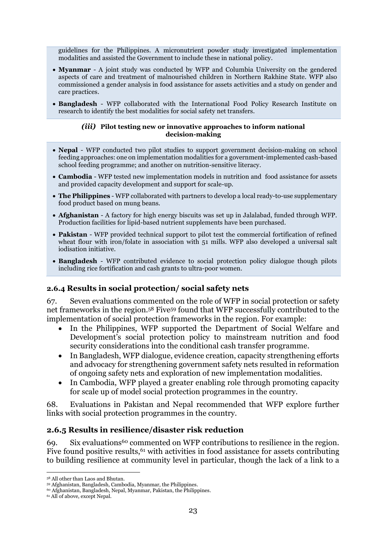guidelines for the Philippines. A micronutrient powder study investigated implementation modalities and assisted the Government to include these in national policy.

- **Myanmar** A joint study was conducted by WFP and Columbia University on the gendered aspects of care and treatment of malnourished children in Northern Rakhine State. WFP also commissioned a gender analysis in food assistance for assets activities and a study on gender and care practices.
- **Bangladesh** WFP collaborated with the International Food Policy Research Institute on research to identify the best modalities for social safety net transfers.

#### *(iii)* **Pilot testing new or innovative approaches to inform national decision-making**

- **Nepal** WFP conducted two pilot studies to support government decision-making on school feeding approaches: one on implementation modalities for a government-implemented cash-based school feeding programme; and another on nutrition-sensitive literacy.
- **Cambodia** WFP tested new implementation models in nutrition and food assistance for assets and provided capacity development and support for scale-up.
- **The Philippines** WFP collaborated with partners to develop a local ready-to-use supplementary food product based on mung beans.
- **Afghanistan** A factory for high energy biscuits was set up in Jalalabad, funded through WFP. Production facilities for lipid-based nutrient supplements have been purchased.
- **Pakistan** WFP provided technical support to pilot test the commercial fortification of refined wheat flour with iron/folate in association with 51 mills. WFP also developed a universal salt iodisation initiative.
- **Bangladesh** WFP contributed evidence to social protection policy dialogue though pilots including rice fortification and cash grants to ultra-poor women.

#### **2.6.4 Results in social protection/ social safety nets**

67. Seven evaluations commented on the role of WFP in social protection or safety net frameworks in the region.<sup>58</sup> Five<sup>59</sup> found that WFP successfully contributed to the implementation of social protection frameworks in the region. For example:

- In the Philippines, WFP supported the Department of Social Welfare and Development's social protection policy to mainstream nutrition and food security considerations into the conditional cash transfer programme.
- In Bangladesh, WFP dialogue, evidence creation, capacity strengthening efforts and advocacy for strengthening government safety nets resulted in reformation of ongoing safety nets and exploration of new implementation modalities.
- In Cambodia, WFP played a greater enabling role through promoting capacity for scale up of model social protection programmes in the country.

68. Evaluations in Pakistan and Nepal recommended that WFP explore further links with social protection programmes in the country.

#### **2.6.5 Results in resilience/disaster risk reduction**

69. Six evaluations<sup>60</sup> commented on WFP contributions to resilience in the region. Five found positive results,<sup>61</sup> with activities in food assistance for assets contributing to building resilience at community level in particular, though the lack of a link to a

**<sup>.</sup>** <sup>58</sup> All other than Laos and Bhutan.

<sup>59</sup> Afghanistan, Bangladesh, Cambodia, Myanmar, the Philippines.

<sup>60</sup> Afghanistan, Bangladesh, Nepal, Myanmar, Pakistan, the Philippines.

<sup>61</sup> All of above, except Nepal.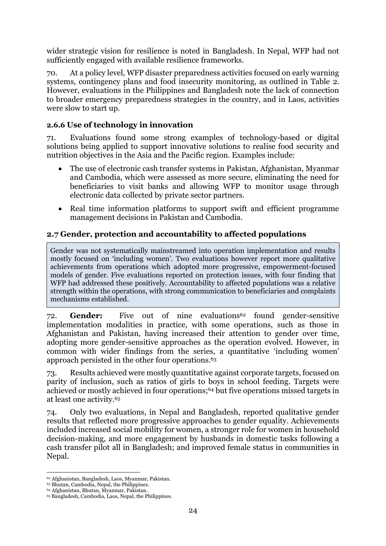wider strategic vision for resilience is noted in Bangladesh. In Nepal, WFP had not sufficiently engaged with available resilience frameworks.

70. At a policy level, WFP disaster preparedness activities focused on early warning systems, contingency plans and food insecurity monitoring, as outlined in Table 2. However, evaluations in the Philippines and Bangladesh note the lack of connection to broader emergency preparedness strategies in the country, and in Laos, activities were slow to start up.

### **2.6.6 Use of technology in innovation**

71. Evaluations found some strong examples of technology-based or digital solutions being applied to support innovative solutions to realise food security and nutrition objectives in the Asia and the Pacific region. Examples include:

- The use of electronic cash transfer systems in Pakistan, Afghanistan, Myanmar and Cambodia, which were assessed as more secure, eliminating the need for beneficiaries to visit banks and allowing WFP to monitor usage through electronic data collected by private sector partners.
- Real time information platforms to support swift and efficient programme management decisions in Pakistan and Cambodia.

### **2.7 Gender, protection and accountability to affected populations**

Gender was not systematically mainstreamed into operation implementation and results mostly focused on 'including women'. Two evaluations however report more qualitative achievements from operations which adopted more progressive, empowerment-focused models of gender. Five evaluations reported on protection issues, with four finding that WFP had addressed these positively. Accountability to affected populations was a relative strength within the operations, with strong communication to beneficiaries and complaints mechanisms established.

72. **Gender:** Five out of nine evaluations<sup>62</sup> found gender-sensitive implementation modalities in practice, with some operations, such as those in Afghanistan and Pakistan, having increased their attention to gender over time, adopting more gender-sensitive approaches as the operation evolved. However, in common with wider findings from the series, a quantitative 'including women' approach persisted in the other four operations.<sup>63</sup>

73. Results achieved were mostly quantitative against corporate targets, focused on parity of inclusion, such as ratios of girls to boys in school feeding. Targets were achieved or mostly achieved in four operations; <sup>64</sup> but five operations missed targets in at least one activity. 65

74. Only two evaluations, in Nepal and Bangladesh, reported qualitative gender results that reflected more progressive approaches to gender equality. Achievements included increased social mobility for women, a stronger role for women in household decision-making, and more engagement by husbands in domestic tasks following a cash transfer pilot all in Bangladesh; and improved female status in communities in Nepal.

**<sup>.</sup>** <sup>62</sup> Afghanistan, Bangladesh, Laos, Myanmar, Pakistan.

<sup>63</sup> Bhutan, Cambodia, Nepal, the Philippines.

<sup>64</sup> Afghanistan, Bhutan, Myanmar, Pakistan.

<sup>65</sup> Bangladesh, Cambodia, Laos, Nepal, the Philippines.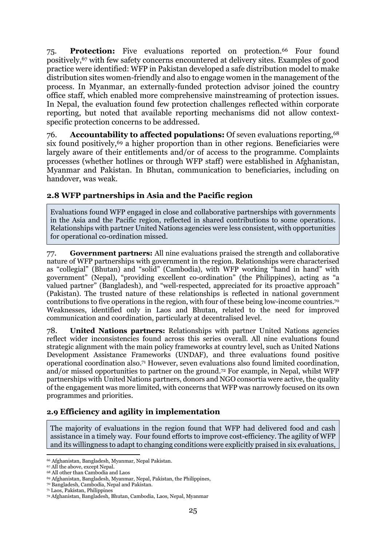75. **Protection:** Five evaluations reported on protection.<sup>66</sup> Four found positively, <sup>67</sup> with few safety concerns encountered at delivery sites. Examples of good practice were identified: WFP in Pakistan developed a safe distribution model to make distribution sites women-friendly and also to engage women in the management of the process. In Myanmar, an externally-funded protection advisor joined the country office staff, which enabled more comprehensive mainstreaming of protection issues. In Nepal, the evaluation found few protection challenges reflected within corporate reporting, but noted that available reporting mechanisms did not allow contextspecific protection concerns to be addressed.

76. **Accountability to affected populations:** Of seven evaluations reporting, <sup>68</sup> six found positively,<sup>69</sup> a higher proportion than in other regions. Beneficiaries were largely aware of their entitlements and/or of access to the programme. Complaints processes (whether hotlines or through WFP staff) were established in Afghanistan, Myanmar and Pakistan. In Bhutan, communication to beneficiaries, including on handover, was weak.

#### **2.8 WFP partnerships in Asia and the Pacific region**

Evaluations found WFP engaged in close and collaborative partnerships with governments in the Asia and the Pacific region, reflected in shared contributions to some operations. Relationships with partner United Nations agencies were less consistent, with opportunities for operational co-ordination missed.

77. **Government partners:** All nine evaluations praised the strength and collaborative nature of WFP partnerships with government in the region. Relationships were characterised as "collegial" (Bhutan) and "solid" (Cambodia), with WFP working "hand in hand" with government" (Nepal), "providing excellent co-ordination" (the Philippines), acting as "a valued partner" (Bangladesh), and "well-respected, appreciated for its proactive approach" (Pakistan). The trusted nature of these relationships is reflected in national government contributions to five operations in the region, with four of these being low-income countries. 70 Weaknesses, identified only in Laos and Bhutan, related to the need for improved communication and coordination, particularly at decentralised level.

78. **United Nations partners:** Relationships with partner United Nations agencies reflect wider inconsistencies found across this series overall. All nine evaluations found strategic alignment with the main policy frameworks at country level, such as United Nations Development Assistance Frameworks (UNDAF), and three evaluations found positive operational coordination also. <sup>71</sup> However, seven evaluations also found limited coordination, and/or missed opportunities to partner on the ground.<sup>72</sup> For example, in Nepal, whilst WFP partnerships with United Nations partners, donors and NGO consortia were active, the quality of the engagement was more limited, with concerns that WFP was narrowly focused on its own programmes and priorities.

# **2.9 Efficiency and agility in implementation**

The majority of evaluations in the region found that WFP had delivered food and cash assistance in a timely way. Four found efforts to improve cost-efficiency. The agility of WFP and its willingness to adapt to changing conditions were explicitly praised in six evaluations,

**<sup>.</sup>** <sup>66</sup> Afghanistan, Bangladesh, Myanmar, Nepal Pakistan.

<sup>67</sup> All the above, except Nepal.

<sup>68</sup> All other than Cambodia and Laos

<sup>69</sup> Afghanistan, Bangladesh, Myanmar, Nepal, Pakistan, the Philippines,

<sup>70</sup> Bangladesh, Cambodia, Nepal and Pakistan.

<sup>71</sup> Laos, Pakistan, Philippines

<sup>72</sup> Afghanistan, Bangladesh, Bhutan, Cambodia, Laos, Nepal, Myanmar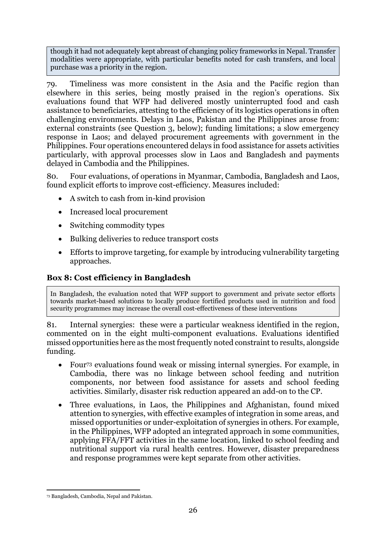though it had not adequately kept abreast of changing policy frameworks in Nepal. Transfer modalities were appropriate, with particular benefits noted for cash transfers, and local purchase was a priority in the region.

79. Timeliness was more consistent in the Asia and the Pacific region than elsewhere in this series, being mostly praised in the region's operations. Six evaluations found that WFP had delivered mostly uninterrupted food and cash assistance to beneficiaries, attesting to the efficiency of its logistics operations in often challenging environments. Delays in Laos, Pakistan and the Philippines arose from: external constraints (see Question 3, below); funding limitations; a slow emergency response in Laos; and delayed procurement agreements with government in the Philippines. Four operations encountered delays in food assistance for assets activities particularly, with approval processes slow in Laos and Bangladesh and payments delayed in Cambodia and the Philippines.

80. Four evaluations, of operations in Myanmar, Cambodia, Bangladesh and Laos, found explicit efforts to improve cost-efficiency. Measures included:

- A switch to cash from in-kind provision
- Increased local procurement
- Switching commodity types
- Bulking deliveries to reduce transport costs
- Efforts to improve targeting, for example by introducing vulnerability targeting approaches.

# **Box 8: Cost efficiency in Bangladesh**

In Bangladesh, the evaluation noted that WFP support to government and private sector efforts towards market-based solutions to locally produce fortified products used in nutrition and food security programmes may increase the overall cost-effectiveness of these interventions

81. Internal synergies: these were a particular weakness identified in the region, commented on in the eight multi-component evaluations. Evaluations identified missed opportunities here as the most frequently noted constraint to results, alongside funding.

- Four<sup>73</sup> evaluations found weak or missing internal synergies. For example, in Cambodia, there was no linkage between school feeding and nutrition components, nor between food assistance for assets and school feeding activities. Similarly, disaster risk reduction appeared an add-on to the CP.
- Three evaluations, in Laos, the Philippines and Afghanistan, found mixed attention to synergies, with effective examples of integration in some areas, and missed opportunities or under-exploitation of synergies in others. For example, in the Philippines, WFP adopted an integrated approach in some communities, applying FFA/FFT activities in the same location, linked to school feeding and nutritional support via rural health centres. However, disaster preparedness and response programmes were kept separate from other activities.

<sup>1</sup> <sup>73</sup> Bangladesh, Cambodia, Nepal and Pakistan.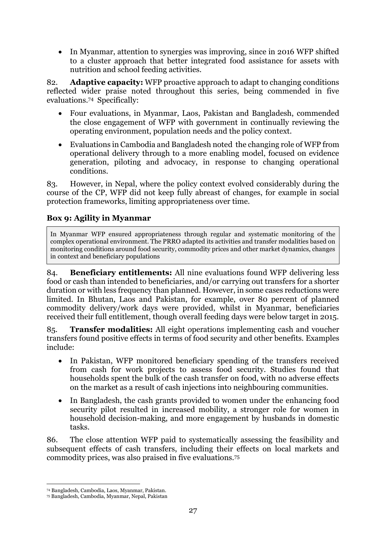• In Myanmar, attention to synergies was improving, since in 2016 WFP shifted to a cluster approach that better integrated food assistance for assets with nutrition and school feeding activities.

82. **Adaptive capacity:** WFP proactive approach to adapt to changing conditions reflected wider praise noted throughout this series, being commended in five evaluations.<sup>74</sup> Specifically:

- Four evaluations, in Myanmar, Laos, Pakistan and Bangladesh, commended the close engagement of WFP with government in continually reviewing the operating environment, population needs and the policy context.
- Evaluations in Cambodia and Bangladesh noted the changing role of WFP from operational delivery through to a more enabling model, focused on evidence generation, piloting and advocacy, in response to changing operational conditions.

83. However, in Nepal, where the policy context evolved considerably during the course of the CP, WFP did not keep fully abreast of changes, for example in social protection frameworks, limiting appropriateness over time.

### **Box 9: Agility in Myanmar**

In Myanmar WFP ensured appropriateness through regular and systematic monitoring of the complex operational environment. The PRRO adapted its activities and transfer modalities based on monitoring conditions around food security, commodity prices and other market dynamics, changes in context and beneficiary populations

84. **Beneficiary entitlements:** All nine evaluations found WFP delivering less food or cash than intended to beneficiaries, and/or carrying out transfers for a shorter duration or with less frequency than planned. However, in some cases reductions were limited. In Bhutan, Laos and Pakistan, for example, over 80 percent of planned commodity delivery/work days were provided, whilst in Myanmar, beneficiaries received their full entitlement, though overall feeding days were below target in 2015.

85. **Transfer modalities:** All eight operations implementing cash and voucher transfers found positive effects in terms of food security and other benefits. Examples include:

- In Pakistan, WFP monitored beneficiary spending of the transfers received from cash for work projects to assess food security. Studies found that households spent the bulk of the cash transfer on food, with no adverse effects on the market as a result of cash injections into neighbouring communities.
- In Bangladesh, the cash grants provided to women under the enhancing food security pilot resulted in increased mobility, a stronger role for women in household decision-making, and more engagement by husbands in domestic tasks.

86. The close attention WFP paid to systematically assessing the feasibility and subsequent effects of cash transfers, including their effects on local markets and commodity prices, was also praised in five evaluations.<sup>75</sup>

**.** 

<sup>74</sup> Bangladesh, Cambodia, Laos, Myanmar, Pakistan.

<sup>75</sup> Bangladesh, Cambodia, Myanmar, Nepal, Pakistan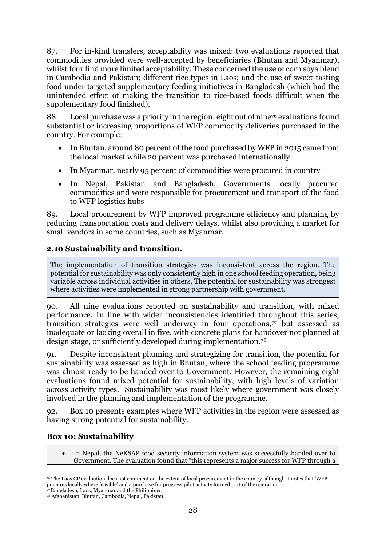87. For in-kind transfers*,* acceptability was mixed: two evaluations reported that commodities provided were well-accepted by beneficiaries (Bhutan and Myanmar), whilst four find more limited acceptability. These concerned the use of corn soya blend in Cambodia and Pakistan; different rice types in Laos; and the use of sweet-tasting food under targeted supplementary feeding initiatives in Bangladesh (which had the unintended effect of making the transition to rice-based foods difficult when the supplementary food finished).

88. Local purchase was a priority in the region: eight out of nine<sup>76</sup> evaluations found substantial or increasing proportions of WFP commodity deliveries purchased in the country. For example:

- In Bhutan, around 80 percent of the food purchased by WFP in 2015 came from the local market while 20 percent was purchased internationally
- In Myanmar, nearly 95 percent of commodities were procured in country
- In Nepal, Pakistan and Bangladesh, Governments locally procured commodities and were responsible for procurement and transport of the food to WFP logistics hubs

89. Local procurement by WFP improved programme efficiency and planning by reducing transportation costs and delivery delays, whilst also providing a market for small vendors in some countries, such as Myanmar.

### **2.10 Sustainability and transition.**

The implementation of transition strategies was inconsistent across the region. The potential for sustainability was only consistently high in one school feeding operation, being variable across individual activities in others. The potential for sustainability was strongest where activities were implemented in strong partnership with government.

90. All nine evaluations reported on sustainability and transition, with mixed performance. In line with wider inconsistencies identified throughout this series, transition strategies were well underway in four operations,<sup>77</sup> but assessed as inadequate or lacking overall in five, with concrete plans for handover not planned at design stage, or sufficiently developed during implementation. 78

91. Despite inconsistent planning and strategizing for transition, the potential for sustainability was assessed as high in Bhutan, where the school feeding programme was almost ready to be handed over to Government. However, the remaining eight evaluations found mixed potential for sustainability, with high levels of variation across activity types. Sustainability was most likely where government was closely involved in the planning and implementation of the programme.

92. Box 10 presents examples where WFP activities in the region were assessed as having strong potential for sustainability.

#### **Box 10: Sustainability**

• In Nepal, the NeKSAP food security information system was successfully handed over to Government. The evaluation found that "this represents a major success for WFP through a

**<sup>.</sup>** <sup>76</sup> The Laos CP evaluation does not comment on the extent of local procurement in the country, although it notes that 'WFP procures locally where feasible' and a purchase for progress pilot activity formed part of the operation.

<sup>77</sup>Bangladesh, Laos, Myanmar and the Philippines

<sup>78</sup> Afghanistan, Bhutan, Cambodia, Nepal, Pakistan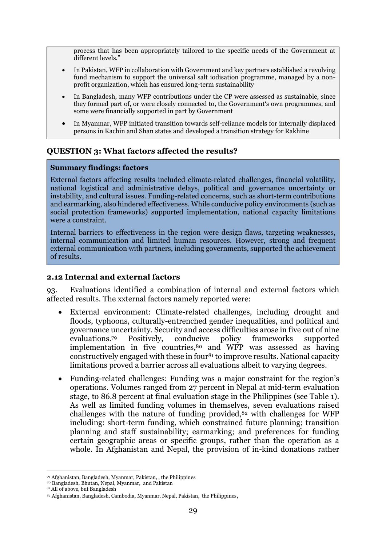process that has been appropriately tailored to the specific needs of the Government at different levels."

- In Pakistan, WFP in collaboration with Government and key partners established a revolving fund mechanism to support the universal salt iodisation programme, managed by a nonprofit organization, which has ensured long-term sustainability
- In Bangladesh, many WFP contributions under the CP were assessed as sustainable, since they formed part of, or were closely connected to, the Government's own programmes, and some were financially supported in part by Government
- In Myanmar, WFP initiated transition towards self-reliance models for internally displaced persons in Kachin and Shan states and developed a transition strategy for Rakhine

#### <span id="page-30-0"></span>**QUESTION 3: What factors affected the results?**

#### **Summary findings: factors**

External factors affecting results included climate-related challenges, financial volatility, national logistical and administrative delays, political and governance uncertainty or instability, and cultural issues. Funding-related concerns, such as short-term contributions and earmarking, also hindered effectiveness. While conducive policy environments (such as social protection frameworks) supported implementation, national capacity limitations were a constraint.

Internal barriers to effectiveness in the region were design flaws, targeting weaknesses, internal communication and limited human resources. However, strong and frequent external communication with partners, including governments, supported the achievement of results.

#### **2.12 Internal and external factors**

93. Evaluations identified a combination of internal and external factors which affected results. The xxternal factors namely reported were:

- External environment: Climate-related challenges, including drought and floods, typhoons, culturally-entrenched gender inequalities, and political and governance uncertainty. Security and access difficulties arose in five out of nine evaluations.<sup>79</sup> Positively, conducive policy frameworks supported implementation in five countries,<sup>80</sup> and WFP was assessed as having constructively engaged with these in four<sup>81</sup> to improve results. National capacity limitations proved a barrier across all evaluations albeit to varying degrees.
- Funding-related challenges: Funding was a major constraint for the region's operations. Volumes ranged from 27 percent in Nepal at mid-term evaluation stage, to 86.8 percent at final evaluation stage in the Philippines (see Table 1). As well as limited funding volumes in themselves, seven evaluations raised challenges with the nature of funding provided, $82$  with challenges for WFP including: short-term funding, which constrained future planning; transition planning and staff sustainability; earmarking; and preferences for funding certain geographic areas or specific groups, rather than the operation as a whole. In Afghanistan and Nepal, the provision of in-kind donations rather

**<sup>.</sup>** <sup>79</sup> Afghanistan, Bangladesh, Myanmar, Pakistan, , the Philippines

<sup>80</sup> Bangladesh, Bhutan, Nepal, Myanmar, and Pakistan

<sup>81</sup> All of above, but Bangladesh

<sup>82</sup> Afghanistan, Bangladesh, Cambodia, Myanmar, Nepal, Pakistan, the Philippines,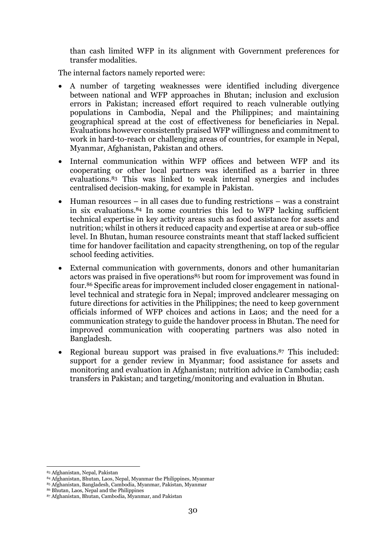than cash limited WFP in its alignment with Government preferences for transfer modalities.

The internal factors namely reported were:

- A number of targeting weaknesses were identified including divergence between national and WFP approaches in Bhutan; inclusion and exclusion errors in Pakistan; increased effort required to reach vulnerable outlying populations in Cambodia, Nepal and the Philippines; and maintaining geographical spread at the cost of effectiveness for beneficiaries in Nepal. Evaluations however consistently praised WFP willingness and commitment to work in hard-to-reach or challenging areas of countries, for example in Nepal, Myanmar, Afghanistan, Pakistan and others.
- Internal communication within WFP offices and between WFP and its cooperating or other local partners was identified as a barrier in three evaluations. <sup>83</sup> This was linked to weak internal synergies and includes centralised decision-making, for example in Pakistan.
- Human resources in all cases due to funding restrictions was a constraint in six evaluations.<sup>84</sup> In some countries this led to WFP lacking sufficient technical expertise in key activity areas such as food assistance for assets and nutrition; whilst in others it reduced capacity and expertise at area or sub-office level. In Bhutan, human resource constraints meant that staff lacked sufficient time for handover facilitation and capacity strengthening, on top of the regular school feeding activities.
- External communication with governments, donors and other humanitarian actors was praised in five operations<sup>85</sup> but room for improvement was found in four.<sup>86</sup> Specific areas for improvement included closer engagement in nationallevel technical and strategic fora in Nepal; improved andclearer messaging on future directions for activities in the Philippines; the need to keep government officials informed of WFP choices and actions in Laos; and the need for a communication strategy to guide the handover process in Bhutan. The need for improved communication with cooperating partners was also noted in Bangladesh.
- Regional bureau support was praised in five evaluations. <sup>87</sup> This included: support for a gender review in Myanmar; food assistance for assets and monitoring and evaluation in Afghanistan; nutrition advice in Cambodia; cash transfers in Pakistan; and targeting/monitoring and evaluation in Bhutan.

1

- <sup>84</sup> Afghanistan, Bhutan, Laos, Nepal, Myanmar the Philippines, Myanmar
- <sup>85</sup> Afghanistan, Bangladesh, Cambodia, Myanmar, Pakistan, Myanmar

<sup>83</sup> Afghanistan, Nepal, Pakistan

<sup>86</sup> Bhutan, Laos, Nepal and the Philippines

<sup>87</sup> Afghanistan, Bhutan, Cambodia, Myanmar, and Pakistan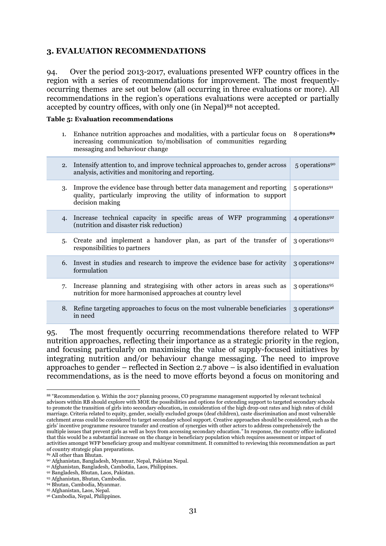#### <span id="page-32-0"></span>**3. EVALUATION RECOMMENDATIONS**

94. Over the period 2013-2017, evaluations presented WFP country offices in the region with a series of recommendations for improvement. The most frequentlyoccurring themes are set out below (all occurring in three evaluations or more). All recommendations in the region's operations evaluations were accepted or partially accepted by country offices, with only one (in Nepal) <sup>88</sup> not accepted.

#### **Table 5: Evaluation recommendations**

1. Enhance nutrition approaches and modalities, with a particular focus on 8 operations**<sup>89</sup>** increasing communication to/mobilisation of communities regarding messaging and behaviour change

| 2. | Intensify attention to, and improve technical approaches to, gender across<br>analysis, activities and monitoring and reporting.                                   | 5 operations <sup>90</sup> |
|----|--------------------------------------------------------------------------------------------------------------------------------------------------------------------|----------------------------|
| 3. | Improve the evidence base through better data management and reporting<br>quality, particularly improving the utility of information to support<br>decision making | 5 operations <sup>91</sup> |
| 4. | Increase technical capacity in specific areas of WFP programming<br>(nutrition and disaster risk reduction)                                                        | 4 operations <sup>92</sup> |
| 5. | Create and implement a handover plan, as part of the transfer of<br>responsibilities to partners                                                                   | 3 operations <sup>93</sup> |
| 6. | Invest in studies and research to improve the evidence base for activity<br>formulation                                                                            | 3 operations <sup>94</sup> |
| 7. | Increase planning and strategising with other actors in areas such as<br>nutrition for more harmonised approaches at country level                                 | 3 operations <sup>95</sup> |
| 8. | Refine targeting approaches to focus on the most vulnerable beneficiaries<br>in need                                                                               | 3 operations <sup>96</sup> |

95. The most frequently occurring recommendations therefore related to WFP nutrition approaches, reflecting their importance as a strategic priority in the region, and focusing particularly on maximising the value of supply-focused initiatives by integrating nutrition and/or behaviour change messaging. The need to improve approaches to gender – reflected in Section 2.7 above – is also identified in evaluation recommendations, as is the need to move efforts beyond a focus on monitoring and

**<sup>.</sup>** <sup>88</sup> "Recommendation 9. Within the 2017 planning process, CO programme management supported by relevant technical advisors within RB should explore with MOE the possibilities and options for extending support to targeted secondary schools to promote the transition of girls into secondary education**,** in consideration of the high drop-out rates and high rates of child marriage. Criteria related to equity, gender, socially excluded groups (deaf children), caste discrimination and most vulnerable catchment areas could be considered to target secondary school support. Creative approaches should be considered, such as the girls' incentive programme resource transfer and creation of synergies with other actors to address comprehensively the multiple issues that prevent girls as well as boys from accessing secondary education*."* In response, the country office indicated that this would be a substantial increase on the change in beneficiary population which requires assessment or impact of activities amongst WFP beneficiary group and multiyear commitment. It committed to reviewing this recommendation as part of country strategic plan preparations.

<sup>89</sup> All other than Bhutan.

<sup>90</sup> Afghanistan, Bangladesh, Myanmar, Nepal, Pakistan Nepal.

<sup>91</sup> Afghanistan, Bangladesh, Cambodia, Laos, Philippines.

<sup>92</sup> Bangladesh, Bhutan, Laos, Pakistan.

<sup>93</sup> Afghanistan, Bhutan, Cambodia.

<sup>94</sup> Bhutan, Cambodia, Myanmar.

<sup>95</sup> Afghanistan, Laos, Nepal.

<sup>96</sup> Cambodia, Nepal, Philippines.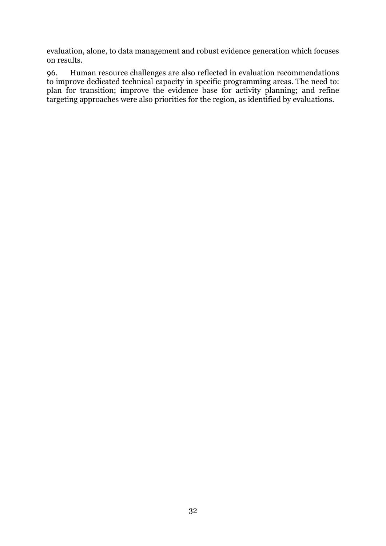evaluation, alone, to data management and robust evidence generation which focuses on results.

96. Human resource challenges are also reflected in evaluation recommendations to improve dedicated technical capacity in specific programming areas. The need to: plan for transition; improve the evidence base for activity planning; and refine targeting approaches were also priorities for the region, as identified by evaluations.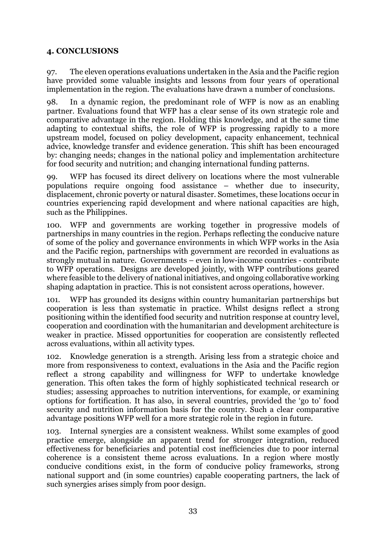#### <span id="page-34-0"></span>**4. CONCLUSIONS**

97. The eleven operations evaluations undertaken in the Asia and the Pacific region have provided some valuable insights and lessons from four years of operational implementation in the region. The evaluations have drawn a number of conclusions.

98. In a dynamic region, the predominant role of WFP is now as an enabling partner. Evaluations found that WFP has a clear sense of its own strategic role and comparative advantage in the region. Holding this knowledge, and at the same time adapting to contextual shifts, the role of WFP is progressing rapidly to a more upstream model, focused on policy development, capacity enhancement, technical advice, knowledge transfer and evidence generation. This shift has been encouraged by: changing needs; changes in the national policy and implementation architecture for food security and nutrition; and changing international funding patterns.

99. WFP has focused its direct delivery on locations where the most vulnerable populations require ongoing food assistance – whether due to insecurity, displacement, chronic poverty or natural disaster. Sometimes, these locations occur in countries experiencing rapid development and where national capacities are high, such as the Philippines.

100. WFP and governments are working together in progressive models of partnerships in many countries in the region. Perhaps reflecting the conducive nature of some of the policy and governance environments in which WFP works in the Asia and the Pacific region, partnerships with government are recorded in evaluations as strongly mutual in nature. Governments – even in low-income countries - contribute to WFP operations. Designs are developed jointly, with WFP contributions geared where feasible to the delivery of national initiatives, and ongoing collaborative working shaping adaptation in practice. This is not consistent across operations, however.

101. WFP has grounded its designs within country humanitarian partnerships but cooperation is less than systematic in practice. Whilst designs reflect a strong positioning within the identified food security and nutrition response at country level, cooperation and coordination with the humanitarian and development architecture is weaker in practice. Missed opportunities for cooperation are consistently reflected across evaluations, within all activity types.

102. Knowledge generation is a strength. Arising less from a strategic choice and more from responsiveness to context, evaluations in the Asia and the Pacific region reflect a strong capability and willingness for WFP to undertake knowledge generation. This often takes the form of highly sophisticated technical research or studies; assessing approaches to nutrition interventions, for example, or examining options for fortification. It has also, in several countries, provided the 'go to' food security and nutrition information basis for the country. Such a clear comparative advantage positions WFP well for a more strategic role in the region in future.

103. Internal synergies are a consistent weakness. Whilst some examples of good practice emerge, alongside an apparent trend for stronger integration, reduced effectiveness for beneficiaries and potential cost inefficiencies due to poor internal coherence is a consistent theme across evaluations. In a region where mostly conducive conditions exist, in the form of conducive policy frameworks, strong national support and (in some countries) capable cooperating partners, the lack of such synergies arises simply from poor design.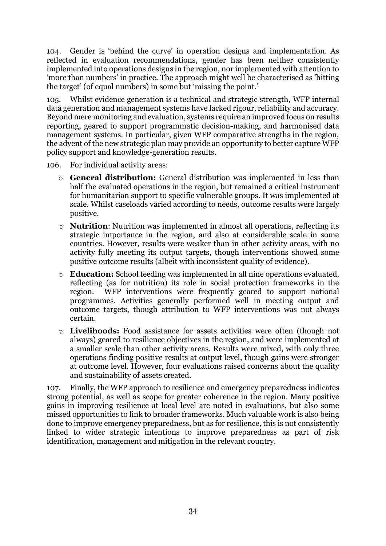104. Gender is 'behind the curve' in operation designs and implementation. As reflected in evaluation recommendations, gender has been neither consistently implemented into operations designs in the region, nor implemented with attention to 'more than numbers' in practice. The approach might well be characterised as 'hitting the target' (of equal numbers) in some but 'missing the point.'

105. Whilst evidence generation is a technical and strategic strength, WFP internal data generation and management systems have lacked rigour, reliability and accuracy. Beyond mere monitoring and evaluation, systems require an improved focus on results reporting, geared to support programmatic decision-making, and harmonised data management systems. In particular, given WFP comparative strengths in the region, the advent of the new strategic plan may provide an opportunity to better capture WFP policy support and knowledge-generation results.

106. For individual activity areas:

- o **General distribution:** General distribution was implemented in less than half the evaluated operations in the region, but remained a critical instrument for humanitarian support to specific vulnerable groups. It was implemented at scale. Whilst caseloads varied according to needs, outcome results were largely positive.
- o **Nutrition**: Nutrition was implemented in almost all operations, reflecting its strategic importance in the region, and also at considerable scale in some countries. However, results were weaker than in other activity areas, with no activity fully meeting its output targets, though interventions showed some positive outcome results (albeit with inconsistent quality of evidence).
- o **Education:** School feeding was implemented in all nine operations evaluated, reflecting (as for nutrition) its role in social protection frameworks in the region. WFP interventions were frequently geared to support national programmes. Activities generally performed well in meeting output and outcome targets, though attribution to WFP interventions was not always certain.
- o **Livelihoods:** Food assistance for assets activities were often (though not always) geared to resilience objectives in the region, and were implemented at a smaller scale than other activity areas. Results were mixed, with only three operations finding positive results at output level, though gains were stronger at outcome level. However, four evaluations raised concerns about the quality and sustainability of assets created.

107. Finally, the WFP approach to resilience and emergency preparedness indicates strong potential, as well as scope for greater coherence in the region. Many positive gains in improving resilience at local level are noted in evaluations, but also some missed opportunities to link to broader frameworks. Much valuable work is also being done to improve emergency preparedness, but as for resilience, this is not consistently linked to wider strategic intentions to improve preparedness as part of risk identification, management and mitigation in the relevant country.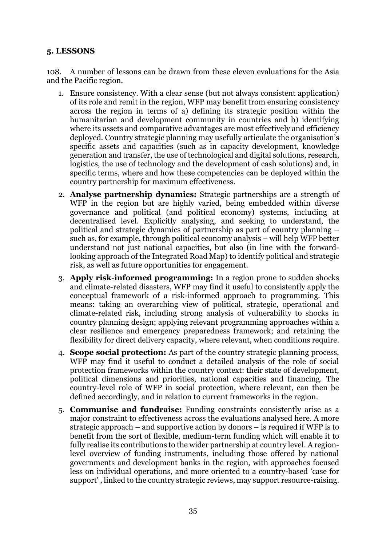#### <span id="page-36-0"></span>**5. LESSONS**

108. A number of lessons can be drawn from these eleven evaluations for the Asia and the Pacific region.

- 1. Ensure consistency. With a clear sense (but not always consistent application) of its role and remit in the region, WFP may benefit from ensuring consistency across the region in terms of a) defining its strategic position within the humanitarian and development community in countries and b) identifying where its assets and comparative advantages are most effectively and efficiency deployed. Country strategic planning may usefully articulate the organisation's specific assets and capacities (such as in capacity development, knowledge generation and transfer, the use of technological and digital solutions, research, logistics, the use of technology and the development of cash solutions) and, in specific terms, where and how these competencies can be deployed within the country partnership for maximum effectiveness.
- 2. **Analyse partnership dynamics:** Strategic partnerships are a strength of WFP in the region but are highly varied, being embedded within diverse governance and political (and political economy) systems, including at decentralised level. Explicitly analysing, and seeking to understand, the political and strategic dynamics of partnership as part of country planning – such as, for example, through political economy analysis – will help WFP better understand not just national capacities, but also (in line with the forwardlooking approach of the Integrated Road Map) to identify political and strategic risk, as well as future opportunities for engagement.
- 3. **Apply risk-informed programming:** In a region prone to sudden shocks and climate-related disasters, WFP may find it useful to consistently apply the conceptual framework of a risk-informed approach to programming. This means: taking an overarching view of political, strategic, operational and climate-related risk, including strong analysis of vulnerability to shocks in country planning design; applying relevant programming approaches within a clear resilience and emergency preparedness framework; and retaining the flexibility for direct delivery capacity, where relevant, when conditions require.
- 4. **Scope social protection:** As part of the country strategic planning process, WFP may find it useful to conduct a detailed analysis of the role of social protection frameworks within the country context: their state of development, political dimensions and priorities, national capacities and financing. The country-level role of WFP in social protection, where relevant, can then be defined accordingly, and in relation to current frameworks in the region.
- 5. **Communise and fundraise:** Funding constraints consistently arise as a major constraint to effectiveness across the evaluations analysed here. A more strategic approach – and supportive action by donors – is required if WFP is to benefit from the sort of flexible, medium-term funding which will enable it to fully realise its contributions to the wider partnership at country level. A regionlevel overview of funding instruments, including those offered by national governments and development banks in the region, with approaches focused less on individual operations, and more oriented to a country-based 'case for support' , linked to the country strategic reviews, may support resource-raising.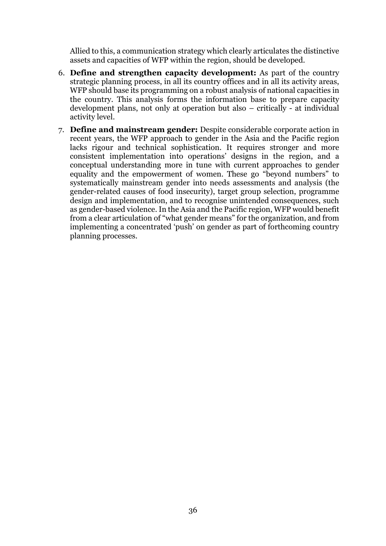Allied to this, a communication strategy which clearly articulates the distinctive assets and capacities of WFP within the region, should be developed.

- 6. **Define and strengthen capacity development:** As part of the country strategic planning process, in all its country offices and in all its activity areas, WFP should base its programming on a robust analysis of national capacities in the country. This analysis forms the information base to prepare capacity development plans, not only at operation but also – critically - at individual activity level.
- 7. **Define and mainstream gender:** Despite considerable corporate action in recent years, the WFP approach to gender in the Asia and the Pacific region lacks rigour and technical sophistication. It requires stronger and more consistent implementation into operations' designs in the region, and a conceptual understanding more in tune with current approaches to gender equality and the empowerment of women. These go "beyond numbers" to systematically mainstream gender into needs assessments and analysis (the gender-related causes of food insecurity), target group selection, programme design and implementation, and to recognise unintended consequences, such as gender-based violence. In the Asia and the Pacific region, WFP would benefit from a clear articulation of "what gender means" for the organization, and from implementing a concentrated 'push' on gender as part of forthcoming country planning processes.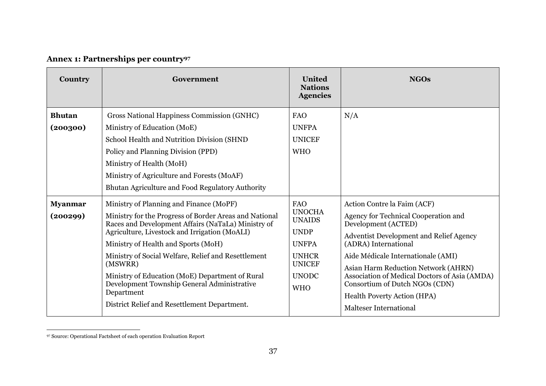# **Annex 1: Partnerships per country<sup>97</sup>**

| <b>Country</b>             | Government                                                                                                                                                                                                                                                                                                                                                                                                                                                                        | <b>United</b><br><b>Nations</b><br><b>Agencies</b>                                                                                         | <b>NGOs</b>                                                                                                                                                                                                                                                                                                                                                                                                 |
|----------------------------|-----------------------------------------------------------------------------------------------------------------------------------------------------------------------------------------------------------------------------------------------------------------------------------------------------------------------------------------------------------------------------------------------------------------------------------------------------------------------------------|--------------------------------------------------------------------------------------------------------------------------------------------|-------------------------------------------------------------------------------------------------------------------------------------------------------------------------------------------------------------------------------------------------------------------------------------------------------------------------------------------------------------------------------------------------------------|
| <b>Bhutan</b><br>(200300)  | Gross National Happiness Commission (GNHC)<br>Ministry of Education (MoE)<br>School Health and Nutrition Division (SHND<br>Policy and Planning Division (PPD)<br>Ministry of Health (MoH)<br>Ministry of Agriculture and Forests (MoAF)<br>Bhutan Agriculture and Food Regulatory Authority                                                                                                                                                                                       | <b>FAO</b><br><b>UNFPA</b><br><b>UNICEF</b><br><b>WHO</b>                                                                                  | N/A                                                                                                                                                                                                                                                                                                                                                                                                         |
| <b>Myanmar</b><br>(200299) | Ministry of Planning and Finance (MoPF)<br>Ministry for the Progress of Border Areas and National<br>Races and Development Affairs (NaTaLa) Ministry of<br>Agriculture, Livestock and Irrigation (MoALI)<br>Ministry of Health and Sports (MoH)<br>Ministry of Social Welfare, Relief and Resettlement<br>(MSWRR)<br>Ministry of Education (MoE) Department of Rural<br>Development Township General Administrative<br>Department<br>District Relief and Resettlement Department. | <b>FAO</b><br><b>UNOCHA</b><br><b>UNAIDS</b><br><b>UNDP</b><br><b>UNFPA</b><br><b>UNHCR</b><br><b>UNICEF</b><br><b>UNODC</b><br><b>WHO</b> | Action Contre la Faim (ACF)<br>Agency for Technical Cooperation and<br>Development (ACTED)<br><b>Adventist Development and Relief Agency</b><br>(ADRA) International<br>Aide Médicale Internationale (AMI)<br>Asian Harm Reduction Network (AHRN)<br>Association of Medical Doctors of Asia (AMDA)<br>Consortium of Dutch NGOs (CDN)<br><b>Health Poverty Action (HPA)</b><br><b>Malteser International</b> |

<sup>97</sup> Source: Operational Factsheet of each operation Evaluation Report

<span id="page-38-0"></span> $\overline{a}$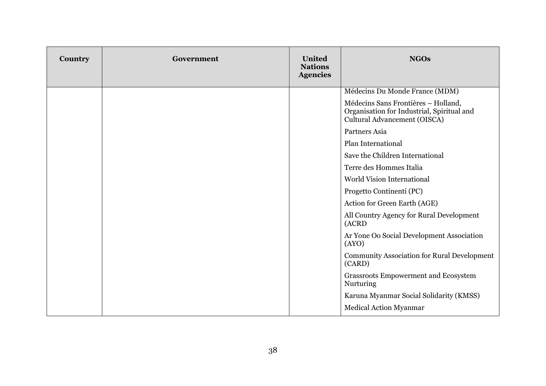| Country | Government | <b>United</b><br><b>Nations</b><br><b>Agencies</b> | <b>NGOs</b>                                                                                                       |
|---------|------------|----------------------------------------------------|-------------------------------------------------------------------------------------------------------------------|
|         |            |                                                    | Médecins Du Monde France (MDM)                                                                                    |
|         |            |                                                    | Médecins Sans Frontières - Holland,<br>Organisation for Industrial, Spiritual and<br>Cultural Advancement (OISCA) |
|         |            |                                                    | Partners Asia                                                                                                     |
|         |            |                                                    | Plan International                                                                                                |
|         |            |                                                    | Save the Children International                                                                                   |
|         |            |                                                    | Terre des Hommes Italia                                                                                           |
|         |            |                                                    | <b>World Vision International</b>                                                                                 |
|         |            |                                                    | Progetto Continenti (PC)                                                                                          |
|         |            |                                                    | Action for Green Earth (AGE)                                                                                      |
|         |            |                                                    | All Country Agency for Rural Development<br>(ACRD                                                                 |
|         |            |                                                    | Ar Yone Oo Social Development Association<br>(AYO)                                                                |
|         |            |                                                    | <b>Community Association for Rural Development</b><br>(CARD)                                                      |
|         |            |                                                    | Grassroots Empowerment and Ecosystem<br>Nurturing                                                                 |
|         |            |                                                    | Karuna Myanmar Social Solidarity (KMSS)                                                                           |
|         |            |                                                    | Medical Action Myanmar                                                                                            |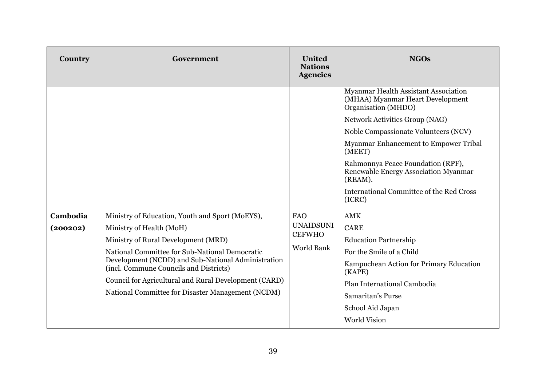| Country              | Government                                                                                                                                                                                                                                                                                                                                                                         | <b>United</b><br><b>Nations</b><br><b>Agencies</b>                   | <b>NGOs</b>                                                                                                                                                                                                                                                                                                                                                                       |
|----------------------|------------------------------------------------------------------------------------------------------------------------------------------------------------------------------------------------------------------------------------------------------------------------------------------------------------------------------------------------------------------------------------|----------------------------------------------------------------------|-----------------------------------------------------------------------------------------------------------------------------------------------------------------------------------------------------------------------------------------------------------------------------------------------------------------------------------------------------------------------------------|
|                      |                                                                                                                                                                                                                                                                                                                                                                                    |                                                                      | Myanmar Health Assistant Association<br>(MHAA) Myanmar Heart Development<br>Organisation (MHDO)<br>Network Activities Group (NAG)<br>Noble Compassionate Volunteers (NCV)<br>Myanmar Enhancement to Empower Tribal<br>(MEET)<br>Rahmonnya Peace Foundation (RPF),<br>Renewable Energy Association Myanmar<br>(REAM).<br><b>International Committee of the Red Cross</b><br>(ICRC) |
| Cambodia<br>(200202) | Ministry of Education, Youth and Sport (MoEYS),<br>Ministry of Health (MoH)<br>Ministry of Rural Development (MRD)<br>National Committee for Sub-National Democratic<br>Development (NCDD) and Sub-National Administration<br>(incl. Commune Councils and Districts)<br>Council for Agricultural and Rural Development (CARD)<br>National Committee for Disaster Management (NCDM) | <b>FAO</b><br><b>UNAIDSUNI</b><br><b>CEFWHO</b><br><b>World Bank</b> | <b>AMK</b><br><b>CARE</b><br><b>Education Partnership</b><br>For the Smile of a Child<br>Kampuchean Action for Primary Education<br>(KAPE)<br>Plan International Cambodia<br>Samaritan's Purse<br>School Aid Japan<br><b>World Vision</b>                                                                                                                                         |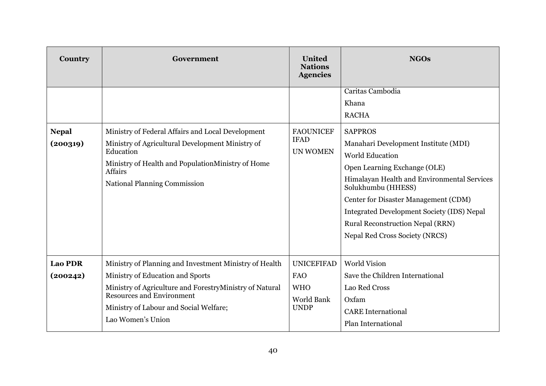| Country                    | Government                                                                                                                                                                                                                                               | <b>United</b><br><b>Nations</b><br><b>Agencies</b>                         | <b>NGOs</b>                                                                                                                                                                                                                                                                                                                                                                                    |
|----------------------------|----------------------------------------------------------------------------------------------------------------------------------------------------------------------------------------------------------------------------------------------------------|----------------------------------------------------------------------------|------------------------------------------------------------------------------------------------------------------------------------------------------------------------------------------------------------------------------------------------------------------------------------------------------------------------------------------------------------------------------------------------|
| <b>Nepal</b><br>(200319)   | Ministry of Federal Affairs and Local Development<br>Ministry of Agricultural Development Ministry of<br>Education<br>Ministry of Health and PopulationMinistry of Home<br>Affairs<br><b>National Planning Commission</b>                                | <b>FAOUNICEF</b><br><b>IFAD</b><br><b>UN WOMEN</b>                         | Caritas Cambodia<br>Khana<br><b>RACHA</b><br><b>SAPPROS</b><br>Manahari Development Institute (MDI)<br><b>World Education</b><br>Open Learning Exchange (OLE)<br>Himalayan Health and Environmental Services<br>Solukhumbu (HHESS)<br>Center for Disaster Management (CDM)<br>Integrated Development Society (IDS) Nepal<br>Rural Reconstruction Nepal (RRN)<br>Nepal Red Cross Society (NRCS) |
| <b>Lao PDR</b><br>(200242) | Ministry of Planning and Investment Ministry of Health<br>Ministry of Education and Sports<br>Ministry of Agriculture and ForestryMinistry of Natural<br><b>Resources and Environment</b><br>Ministry of Labour and Social Welfare;<br>Lao Women's Union | <b>UNICEFIFAD</b><br><b>FAO</b><br><b>WHO</b><br>World Bank<br><b>UNDP</b> | <b>World Vision</b><br>Save the Children International<br>Lao Red Cross<br>Oxfam<br><b>CARE</b> International<br>Plan International                                                                                                                                                                                                                                                            |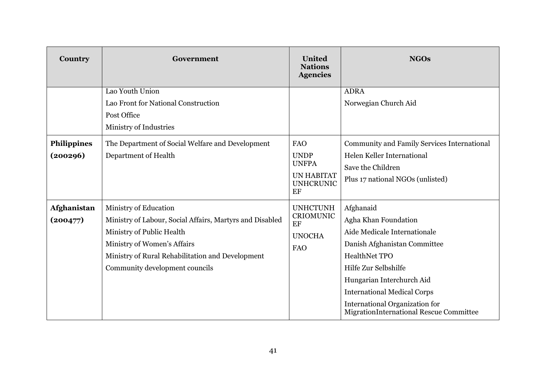| Country                        | Government                                                                                                                                                                                                                          | <b>United</b><br><b>Nations</b><br><b>Agencies</b>                                       | <b>NGOs</b>                                                                                                                                                                                                                                                                                       |
|--------------------------------|-------------------------------------------------------------------------------------------------------------------------------------------------------------------------------------------------------------------------------------|------------------------------------------------------------------------------------------|---------------------------------------------------------------------------------------------------------------------------------------------------------------------------------------------------------------------------------------------------------------------------------------------------|
|                                | Lao Youth Union<br>Lao Front for National Construction<br>Post Office<br>Ministry of Industries                                                                                                                                     |                                                                                          | <b>ADRA</b><br>Norwegian Church Aid                                                                                                                                                                                                                                                               |
| <b>Philippines</b><br>(200296) | The Department of Social Welfare and Development<br>Department of Health                                                                                                                                                            | <b>FAO</b><br><b>UNDP</b><br><b>UNFPA</b><br><b>UN HABITAT</b><br><b>UNHCRUNIC</b><br>EF | Community and Family Services International<br>Helen Keller International<br>Save the Children<br>Plus 17 national NGOs (unlisted)                                                                                                                                                                |
| <b>Afghanistan</b><br>(200477) | Ministry of Education<br>Ministry of Labour, Social Affairs, Martyrs and Disabled<br>Ministry of Public Health<br>Ministry of Women's Affairs<br>Ministry of Rural Rehabilitation and Development<br>Community development councils | <b>UNHCTUNH</b><br><b>CRIOMUNIC</b><br>EF<br><b>UNOCHA</b><br><b>FAO</b>                 | Afghanaid<br>Agha Khan Foundation<br>Aide Medicale Internationale<br>Danish Afghanistan Committee<br><b>HealthNet TPO</b><br>Hilfe Zur Selbshilfe<br>Hungarian Interchurch Aid<br><b>International Medical Corps</b><br>International Organization for<br>MigrationInternational Rescue Committee |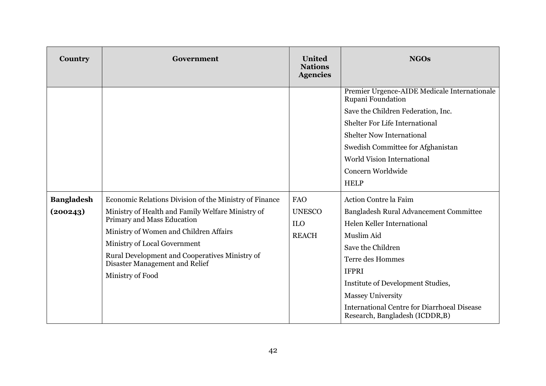| Country                       | Government                                                                                                                                                                                                                                                                                                                  | <b>United</b><br><b>Nations</b><br><b>Agencies</b>        | <b>NGOs</b>                                                                                                                                                                                                                                                                                                                           |
|-------------------------------|-----------------------------------------------------------------------------------------------------------------------------------------------------------------------------------------------------------------------------------------------------------------------------------------------------------------------------|-----------------------------------------------------------|---------------------------------------------------------------------------------------------------------------------------------------------------------------------------------------------------------------------------------------------------------------------------------------------------------------------------------------|
|                               |                                                                                                                                                                                                                                                                                                                             |                                                           | Premier Urgence-AIDE Medicale Internationale<br>Rupani Foundation<br>Save the Children Federation, Inc.<br><b>Shelter For Life International</b><br><b>Shelter Now International</b><br>Swedish Committee for Afghanistan<br><b>World Vision International</b><br>Concern Worldwide<br><b>HELP</b>                                    |
| <b>Bangladesh</b><br>(200243) | Economic Relations Division of the Ministry of Finance<br>Ministry of Health and Family Welfare Ministry of<br>Primary and Mass Education<br>Ministry of Women and Children Affairs<br>Ministry of Local Government<br>Rural Development and Cooperatives Ministry of<br>Disaster Management and Relief<br>Ministry of Food | <b>FAO</b><br><b>UNESCO</b><br><b>ILO</b><br><b>REACH</b> | <b>Action Contre la Faim</b><br>Bangladesh Rural Advancement Committee<br>Helen Keller International<br>Muslim Aid<br>Save the Children<br>Terre des Hommes<br><b>IFPRI</b><br>Institute of Development Studies,<br><b>Massey University</b><br><b>International Centre for Diarrhoeal Disease</b><br>Research, Bangladesh (ICDDR, B) |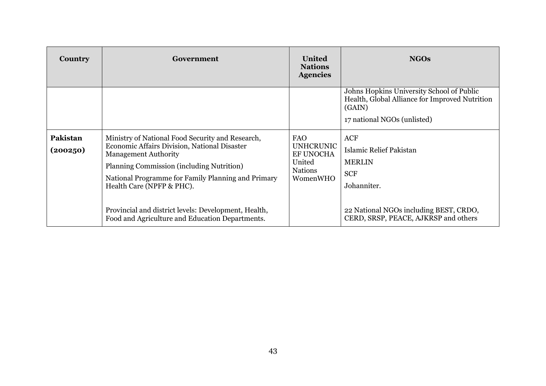| Country              | Government                                                                                                                                                                                                                                                                                                                                                                 | <b>United</b><br><b>Nations</b><br><b>Agencies</b>                                  | <b>NGOs</b>                                                                                                                                                           |
|----------------------|----------------------------------------------------------------------------------------------------------------------------------------------------------------------------------------------------------------------------------------------------------------------------------------------------------------------------------------------------------------------------|-------------------------------------------------------------------------------------|-----------------------------------------------------------------------------------------------------------------------------------------------------------------------|
|                      |                                                                                                                                                                                                                                                                                                                                                                            |                                                                                     | Johns Hopkins University School of Public<br>Health, Global Alliance for Improved Nutrition<br>(GAIN)<br>17 national NGOs (unlisted)                                  |
| Pakistan<br>(200250) | Ministry of National Food Security and Research,<br>Economic Affairs Division, National Disaster<br><b>Management Authority</b><br>Planning Commission (including Nutrition)<br>National Programme for Family Planning and Primary<br>Health Care (NPFP & PHC).<br>Provincial and district levels: Development, Health,<br>Food and Agriculture and Education Departments. | <b>FAO</b><br><b>UNHCRUNIC</b><br>EF UNOCHA<br>United<br><b>Nations</b><br>WomenWHO | <b>ACF</b><br>Islamic Relief Pakistan<br><b>MERLIN</b><br><b>SCF</b><br>Johanniter.<br>22 National NGOs including BEST, CRDO,<br>CERD, SRSP, PEACE, AJKRSP and others |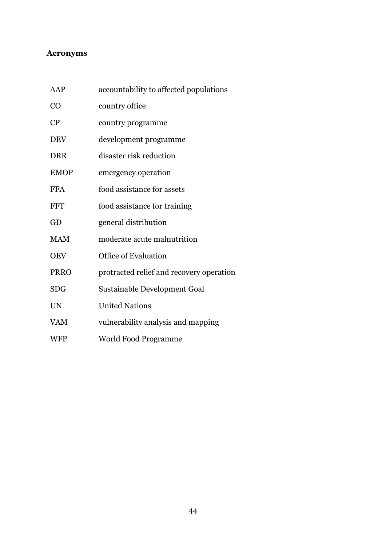## <span id="page-45-0"></span>**Acronyms**

| AAP         | accountability to affected populations   |
|-------------|------------------------------------------|
| CO          | country office                           |
| CP          | country programme                        |
| <b>DEV</b>  | development programme                    |
| <b>DRR</b>  | disaster risk reduction                  |
| <b>EMOP</b> | emergency operation                      |
| <b>FFA</b>  | food assistance for assets               |
| <b>FFT</b>  | food assistance for training             |
| GD          | general distribution                     |
| <b>MAM</b>  | moderate acute malnutrition              |
| <b>OEV</b>  | <b>Office of Evaluation</b>              |
| <b>PRRO</b> | protracted relief and recovery operation |
| <b>SDG</b>  | Sustainable Development Goal             |
| <b>UN</b>   | <b>United Nations</b>                    |
| <b>VAM</b>  | vulnerability analysis and mapping       |
| <b>WFP</b>  | World Food Programme                     |